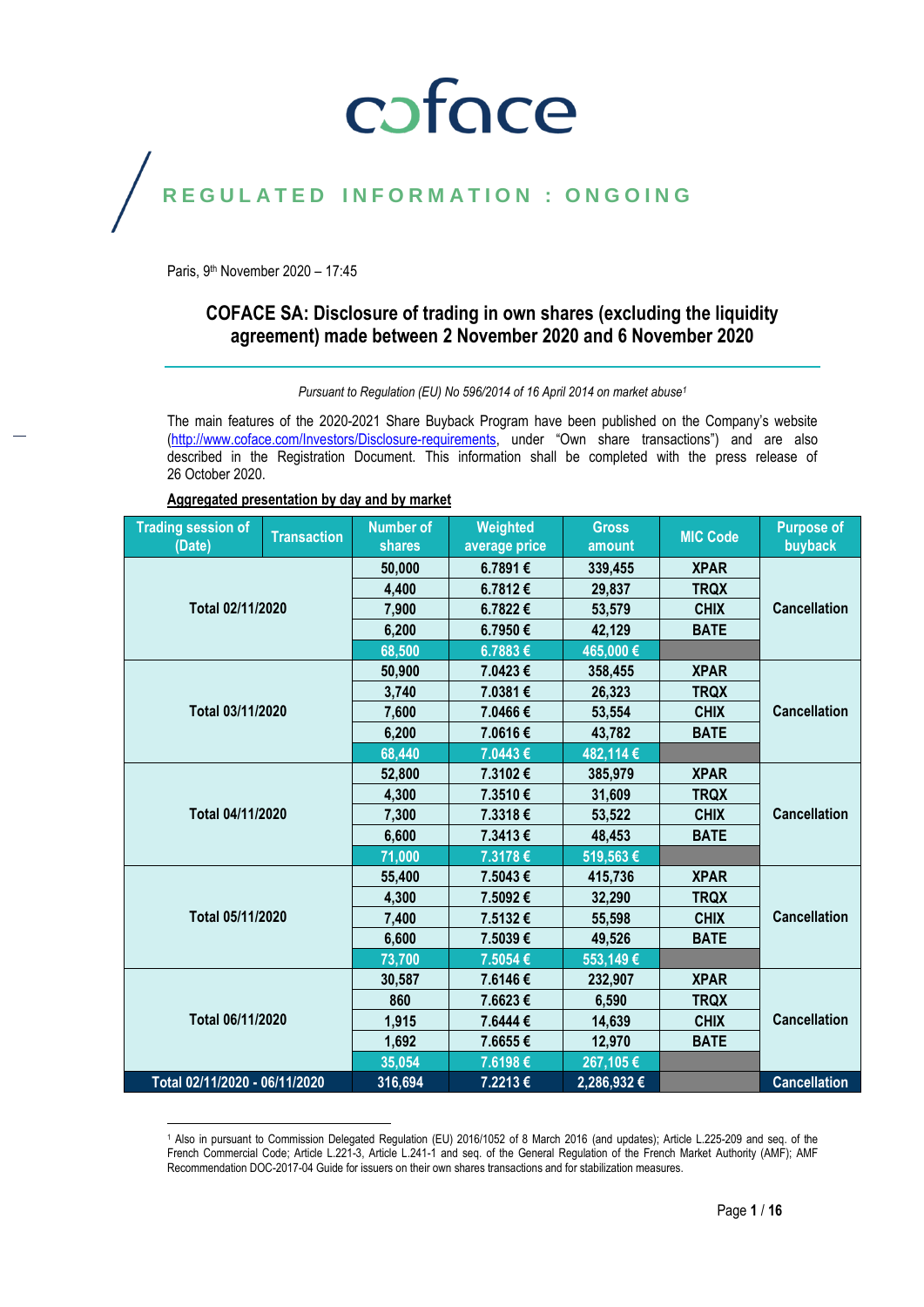### coface

#### REGULATED INFORMATION : ONGOING

Paris, 9<sup>th</sup> November 2020 - 17:45

l

#### **COFACE SA: Disclosure of trading in own shares (excluding the liquidity agreement) made between 2 November 2020 and 6 November 2020**

*Pursuant to Regulation (EU) No 596/2014 of 16 April 2014 on market abuse<sup>1</sup>*

The main features of the 2020-2021 Share Buyback Program have been published on the Company's website [\(http://www.coface.com/Investors/Disclosure-requirements](http://www.coface.com/Investors/Disclosure-requirements), under "Own share transactions") and are also described in the Registration Document. This information shall be completed with the press release of 26 October 2020.

| Aggregated presentation by day and by market |
|----------------------------------------------|
|----------------------------------------------|

| <b>Trading session of</b><br>(Date) | <b>Transaction</b> | <b>Number of</b><br><b>shares</b> | Weighted<br>average price | <b>Gross</b><br>amount | <b>MIC Code</b> | <b>Purpose of</b><br>buyback |
|-------------------------------------|--------------------|-----------------------------------|---------------------------|------------------------|-----------------|------------------------------|
|                                     |                    | 50,000                            | 6.7891€                   | 339,455                | <b>XPAR</b>     |                              |
|                                     |                    | 4,400                             | 6.7812€                   | 29,837                 | <b>TRQX</b>     |                              |
| Total 02/11/2020                    |                    | 7,900                             | 6.7822€                   | 53,579                 | <b>CHIX</b>     | <b>Cancellation</b>          |
|                                     |                    | 6,200                             | 6.7950€                   | 42,129                 | <b>BATE</b>     |                              |
|                                     |                    | 68,500                            | 6.7883€                   | 465,000€               |                 |                              |
|                                     |                    | 50,900                            | 7.0423€                   | 358,455                | <b>XPAR</b>     |                              |
|                                     |                    | 3,740                             | 7.0381€                   | 26,323                 | <b>TRQX</b>     |                              |
| Total 03/11/2020                    |                    | 7,600                             | 7.0466€                   | 53,554                 | <b>CHIX</b>     | <b>Cancellation</b>          |
|                                     |                    | 6,200                             | 7.0616€                   | 43,782                 | <b>BATE</b>     |                              |
|                                     |                    | 68,440                            | 7.0443€                   | 482,114€               |                 |                              |
|                                     |                    | 52,800                            | 7.3102€                   | 385,979                | <b>XPAR</b>     |                              |
|                                     |                    | 4,300                             | 7.3510€                   | 31,609                 | <b>TRQX</b>     | <b>Cancellation</b>          |
| Total 04/11/2020                    |                    | 7,300                             | 7.3318€                   | 53,522                 | <b>CHIX</b>     |                              |
|                                     |                    | 6,600                             | 7.3413€                   | 48,453                 | <b>BATE</b>     |                              |
|                                     |                    | 71,000                            | 7.3178€                   | 519,563€               |                 |                              |
|                                     |                    | 55,400                            | 7.5043€                   | 415,736                | <b>XPAR</b>     |                              |
|                                     |                    | 4,300                             | 7.5092€                   | 32,290                 | <b>TRQX</b>     |                              |
| Total 05/11/2020                    |                    | 7,400                             | 7.5132€                   | 55,598                 | <b>CHIX</b>     | <b>Cancellation</b>          |
|                                     |                    | 6,600                             | 7.5039€                   | 49,526                 | <b>BATE</b>     |                              |
|                                     |                    | 73,700                            | 7.5054€                   | 553,149€               |                 |                              |
|                                     |                    | 30,587                            | 7.6146€                   | 232,907                | <b>XPAR</b>     |                              |
| Total 06/11/2020                    |                    | 860                               | 7.6623€                   | 6,590                  | <b>TRQX</b>     |                              |
|                                     |                    | 1,915                             | 7.6444 €                  | 14,639                 | <b>CHIX</b>     | <b>Cancellation</b>          |
|                                     |                    | 1,692                             | 7.6655€                   | 12,970                 | <b>BATE</b>     |                              |
|                                     |                    | 35,054                            | 7.6198€                   | 267,105€               |                 |                              |
| Total 02/11/2020 - 06/11/2020       |                    | 316,694                           | 7.2213€                   | 2,286,932 €            |                 | <b>Cancellation</b>          |

<sup>1</sup> Also in pursuant to Commission Delegated Regulation (EU) 2016/1052 of 8 March 2016 (and updates); Article L.225-209 and seq. of the French Commercial Code; Article L.221-3, Article L.241-1 and seq. of the General Regulation of the French Market Authority (AMF); AMF Recommendation DOC-2017-04 Guide for issuers on their own shares transactions and for stabilization measures.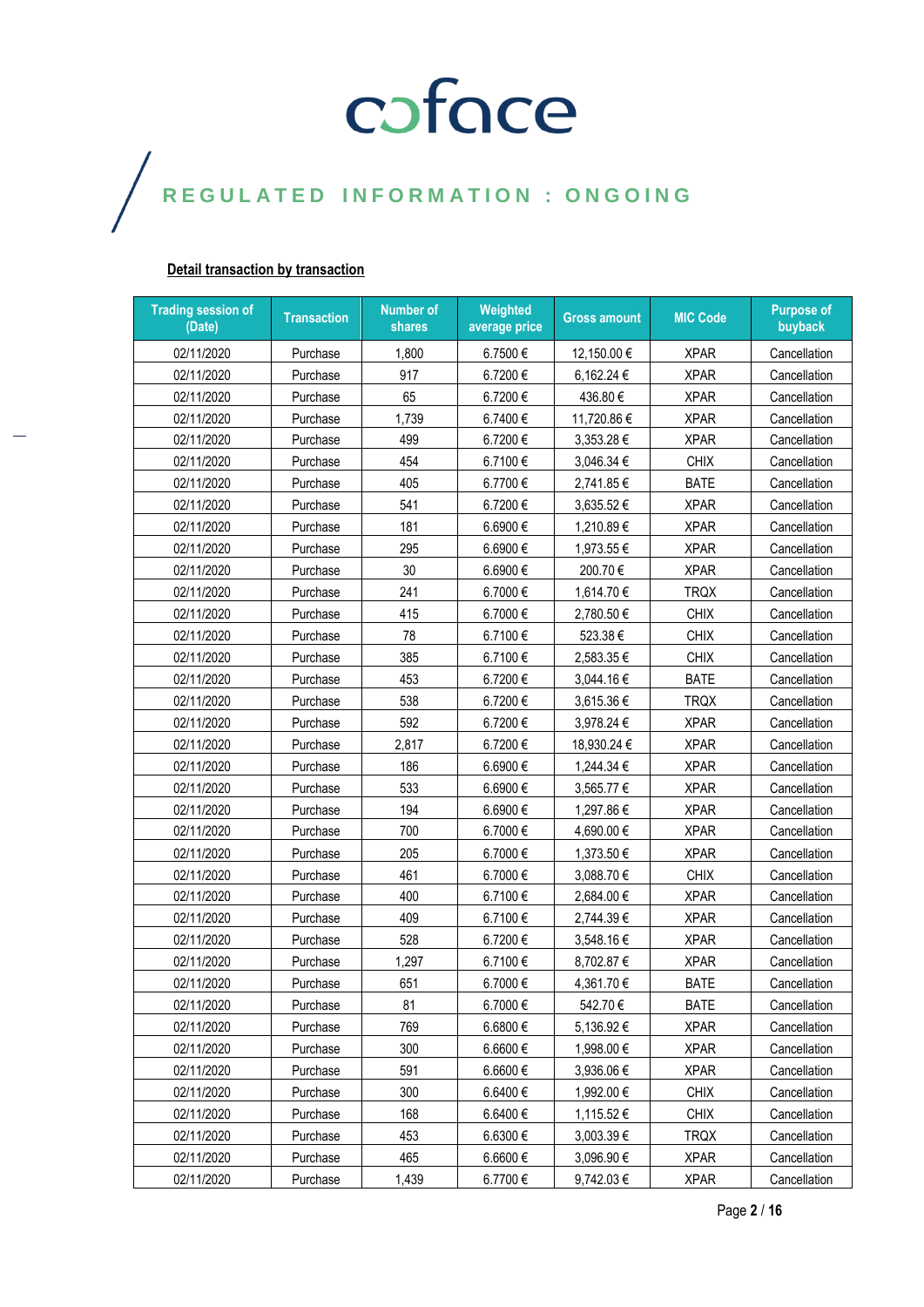#### **Detail transaction by transaction**

| <b>Trading session of</b><br>(Date) | <b>Transaction</b> | <b>Number of</b><br>shares | Weighted<br>average price | <b>Gross amount</b> | <b>MIC Code</b> | <b>Purpose of</b><br>buyback |
|-------------------------------------|--------------------|----------------------------|---------------------------|---------------------|-----------------|------------------------------|
| 02/11/2020                          | Purchase           | 1,800                      | 6.7500€                   | 12,150.00 €         | <b>XPAR</b>     | Cancellation                 |
| 02/11/2020                          | Purchase           | 917                        | 6.7200€                   | 6,162.24 €          | <b>XPAR</b>     | Cancellation                 |
| 02/11/2020                          | Purchase           | 65                         | 6.7200€                   | 436.80€             | <b>XPAR</b>     | Cancellation                 |
| 02/11/2020                          | Purchase           | 1,739                      | 6.7400€                   | 11,720.86 €         | <b>XPAR</b>     | Cancellation                 |
| 02/11/2020                          | Purchase           | 499                        | 6.7200€                   | 3,353.28€           | <b>XPAR</b>     | Cancellation                 |
| 02/11/2020                          | Purchase           | 454                        | 6.7100€                   | 3,046.34 €          | <b>CHIX</b>     | Cancellation                 |
| 02/11/2020                          | Purchase           | 405                        | 6.7700€                   | 2,741.85€           | <b>BATE</b>     | Cancellation                 |
| 02/11/2020                          | Purchase           | 541                        | 6.7200€                   | 3,635.52€           | <b>XPAR</b>     | Cancellation                 |
| 02/11/2020                          | Purchase           | 181                        | 6.6900€                   | 1,210.89€           | <b>XPAR</b>     | Cancellation                 |
| 02/11/2020                          | Purchase           | 295                        | 6.6900€                   | 1,973.55€           | <b>XPAR</b>     | Cancellation                 |
| 02/11/2020                          | Purchase           | 30                         | 6.6900€                   | 200.70€             | <b>XPAR</b>     | Cancellation                 |
| 02/11/2020                          | Purchase           | 241                        | 6.7000€                   | 1,614.70€           | <b>TRQX</b>     | Cancellation                 |
| 02/11/2020                          | Purchase           | 415                        | 6.7000€                   | 2,780.50€           | <b>CHIX</b>     | Cancellation                 |
| 02/11/2020                          | Purchase           | 78                         | 6.7100€                   | 523.38€             | <b>CHIX</b>     | Cancellation                 |
| 02/11/2020                          | Purchase           | 385                        | 6.7100€                   | 2,583.35€           | <b>CHIX</b>     | Cancellation                 |
| 02/11/2020                          | Purchase           | 453                        | 6.7200€                   | 3,044.16€           | <b>BATE</b>     | Cancellation                 |
| 02/11/2020                          | Purchase           | 538                        | 6.7200€                   | 3,615.36€           | <b>TRQX</b>     | Cancellation                 |
| 02/11/2020                          | Purchase           | 592                        | 6.7200€                   | 3,978.24 €          | <b>XPAR</b>     | Cancellation                 |
| 02/11/2020                          | Purchase           | 2,817                      | 6.7200€                   | 18,930.24 €         | <b>XPAR</b>     | Cancellation                 |
| 02/11/2020                          | Purchase           | 186                        | 6.6900€                   | 1,244.34 €          | <b>XPAR</b>     | Cancellation                 |
| 02/11/2020                          | Purchase           | 533                        | 6.6900€                   | 3,565.77 €          | <b>XPAR</b>     | Cancellation                 |
| 02/11/2020                          | Purchase           | 194                        | 6.6900€                   | 1,297.86€           | <b>XPAR</b>     | Cancellation                 |
| 02/11/2020                          | Purchase           | 700                        | 6.7000€                   | 4,690.00 €          | <b>XPAR</b>     | Cancellation                 |
| 02/11/2020                          | Purchase           | 205                        | 6.7000€                   | 1,373.50€           | <b>XPAR</b>     | Cancellation                 |
| 02/11/2020                          | Purchase           | 461                        | 6.7000€                   | 3,088.70€           | <b>CHIX</b>     | Cancellation                 |
| 02/11/2020                          | Purchase           | 400                        | 6.7100€                   | 2,684.00 €          | <b>XPAR</b>     | Cancellation                 |
| 02/11/2020                          | Purchase           | 409                        | 6.7100€                   | 2,744.39€           | <b>XPAR</b>     | Cancellation                 |
| 02/11/2020                          | Purchase           | 528                        | 6.7200€                   | 3,548.16€           | <b>XPAR</b>     | Cancellation                 |
| 02/11/2020                          | Purchase           | 1,297                      | 6.7100€                   | 8,702.87€           | <b>XPAR</b>     | Cancellation                 |
| 02/11/2020                          | Purchase           | 651                        | 6.7000€                   | 4,361.70€           | <b>BATE</b>     | Cancellation                 |
| 02/11/2020                          | Purchase           | 81                         | 6.7000€                   | 542.70€             | <b>BATE</b>     | Cancellation                 |
| 02/11/2020                          | Purchase           | 769                        | 6.6800€                   | 5,136.92€           | <b>XPAR</b>     | Cancellation                 |
| 02/11/2020                          | Purchase           | 300                        | 6.6600€                   | 1,998.00 €          | <b>XPAR</b>     | Cancellation                 |
| 02/11/2020                          | Purchase           | 591                        | 6.6600€                   | 3,936.06€           | <b>XPAR</b>     | Cancellation                 |
| 02/11/2020                          | Purchase           | 300                        | 6.6400€                   | 1,992.00 €          | <b>CHIX</b>     | Cancellation                 |
| 02/11/2020                          | Purchase           | 168                        | 6.6400 €                  | 1,115.52€           | <b>CHIX</b>     | Cancellation                 |
| 02/11/2020                          | Purchase           | 453                        | 6.6300€                   | 3,003.39€           | <b>TRQX</b>     | Cancellation                 |
| 02/11/2020                          | Purchase           | 465                        | 6.6600 €                  | 3,096.90 €          | <b>XPAR</b>     | Cancellation                 |
| 02/11/2020                          | Purchase           | 1,439                      | 6.7700€                   | 9,742.03€           | <b>XPAR</b>     | Cancellation                 |

Page **2** / **16**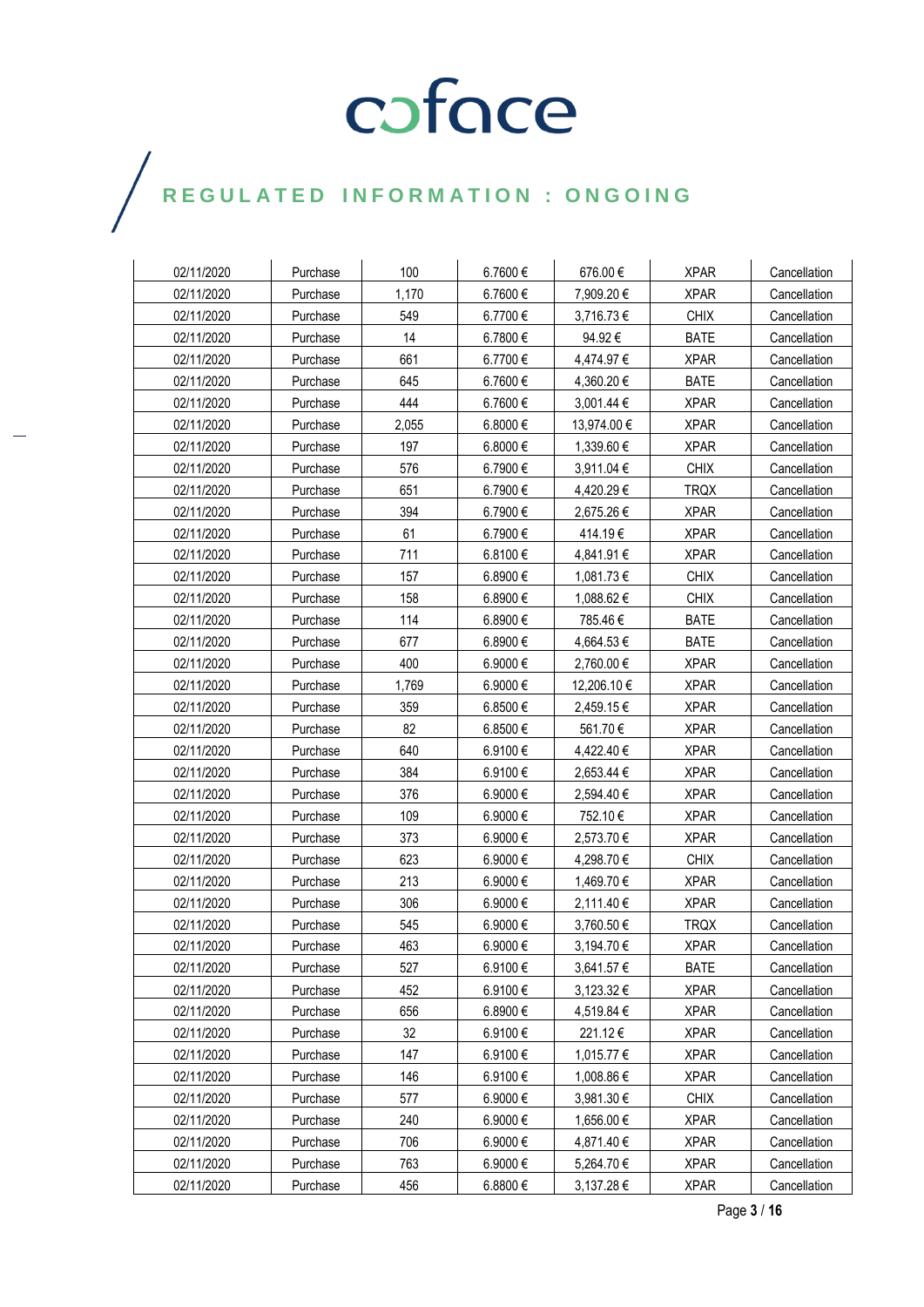### $\bigg)$

| 02/11/2020 | Purchase | 100   | 6.7600 € | 676.00€     | <b>XPAR</b> | Cancellation |
|------------|----------|-------|----------|-------------|-------------|--------------|
| 02/11/2020 | Purchase | 1,170 | 6.7600€  | 7,909.20€   | <b>XPAR</b> | Cancellation |
| 02/11/2020 | Purchase | 549   | 6.7700€  | 3,716.73 €  | <b>CHIX</b> | Cancellation |
| 02/11/2020 | Purchase | 14    | 6.7800€  | 94.92€      | <b>BATE</b> | Cancellation |
| 02/11/2020 | Purchase | 661   | 6.7700€  | 4,474.97 €  | <b>XPAR</b> | Cancellation |
| 02/11/2020 | Purchase | 645   | 6.7600 € | 4,360.20 €  | <b>BATE</b> | Cancellation |
| 02/11/2020 | Purchase | 444   | 6.7600€  | 3,001.44 €  | <b>XPAR</b> | Cancellation |
| 02/11/2020 | Purchase | 2,055 | 6.8000€  | 13,974.00 € | <b>XPAR</b> | Cancellation |
| 02/11/2020 | Purchase | 197   | 6.8000 € | 1,339.60 €  | <b>XPAR</b> | Cancellation |
| 02/11/2020 | Purchase | 576   | 6.7900€  | 3,911.04 €  | <b>CHIX</b> | Cancellation |
| 02/11/2020 | Purchase | 651   | 6.7900€  | 4,420.29 €  | <b>TRQX</b> | Cancellation |
| 02/11/2020 | Purchase | 394   | 6.7900€  | 2,675.26 €  | <b>XPAR</b> | Cancellation |
| 02/11/2020 | Purchase | 61    | 6.7900€  | 414.19€     | <b>XPAR</b> | Cancellation |
| 02/11/2020 | Purchase | 711   | 6.8100€  | 4,841.91 €  | <b>XPAR</b> | Cancellation |
| 02/11/2020 | Purchase | 157   | 6.8900 € | 1,081.73 €  | <b>CHIX</b> | Cancellation |
| 02/11/2020 | Purchase | 158   | 6.8900€  | 1,088.62 €  | <b>CHIX</b> | Cancellation |
| 02/11/2020 | Purchase | 114   | 6.8900€  | 785.46€     | <b>BATE</b> | Cancellation |
| 02/11/2020 | Purchase | 677   | 6.8900 € | 4,664.53 €  | <b>BATE</b> | Cancellation |
| 02/11/2020 | Purchase | 400   | 6.9000€  | 2,760.00 €  | <b>XPAR</b> | Cancellation |
| 02/11/2020 | Purchase | 1,769 | 6.9000€  | 12,206.10 € | <b>XPAR</b> | Cancellation |
| 02/11/2020 | Purchase | 359   | 6.8500 € | 2,459.15€   | <b>XPAR</b> | Cancellation |
| 02/11/2020 | Purchase | 82    | 6.8500€  | 561.70€     | <b>XPAR</b> | Cancellation |
| 02/11/2020 | Purchase | 640   | 6.9100€  | 4,422.40 €  | <b>XPAR</b> | Cancellation |
| 02/11/2020 | Purchase | 384   | 6.9100€  | 2,653.44 €  | <b>XPAR</b> | Cancellation |
| 02/11/2020 | Purchase | 376   | 6.9000€  | 2,594.40 €  | <b>XPAR</b> | Cancellation |
| 02/11/2020 | Purchase | 109   | 6.9000€  | 752.10€     | <b>XPAR</b> | Cancellation |
| 02/11/2020 | Purchase | 373   | 6.9000 € | 2,573.70€   | <b>XPAR</b> | Cancellation |
| 02/11/2020 | Purchase | 623   | 6.9000€  | 4,298.70 €  | <b>CHIX</b> | Cancellation |
| 02/11/2020 | Purchase | 213   | 6.9000€  | 1,469.70 €  | <b>XPAR</b> | Cancellation |
| 02/11/2020 | Purchase | 306   | 6.9000 € | 2,111.40 €  | <b>XPAR</b> | Cancellation |
| 02/11/2020 | Purchase | 545   | 6.9000€  | 3,760.50 €  | <b>TRQX</b> | Cancellation |
| 02/11/2020 | Purchase | 463   | 6.9000€  | 3,194.70 €  | <b>XPAR</b> | Cancellation |
| 02/11/2020 | Purchase | 527   | 6.9100€  | 3,641.57€   | <b>BATE</b> | Cancellation |
| 02/11/2020 | Purchase | 452   | 6.9100€  | 3,123.32€   | <b>XPAR</b> | Cancellation |
| 02/11/2020 | Purchase | 656   | 6.8900€  | 4,519.84 €  | <b>XPAR</b> | Cancellation |
| 02/11/2020 | Purchase | 32    | 6.9100€  | 221.12€     | <b>XPAR</b> | Cancellation |
| 02/11/2020 | Purchase | 147   | 6.9100€  | 1,015.77 €  | <b>XPAR</b> | Cancellation |
| 02/11/2020 | Purchase | 146   | 6.9100€  | 1,008.86 €  | <b>XPAR</b> | Cancellation |
| 02/11/2020 | Purchase | 577   | 6.9000€  | 3,981.30€   | <b>CHIX</b> | Cancellation |
| 02/11/2020 | Purchase | 240   | 6.9000€  | 1,656.00 €  | <b>XPAR</b> | Cancellation |
| 02/11/2020 | Purchase | 706   | 6.9000€  | 4,871.40 €  | <b>XPAR</b> | Cancellation |
| 02/11/2020 | Purchase | 763   | 6.9000€  | 5,264.70€   | <b>XPAR</b> | Cancellation |
| 02/11/2020 | Purchase | 456   | 6.8800€  | 3,137.28 €  | <b>XPAR</b> | Cancellation |

Page **3** / **16**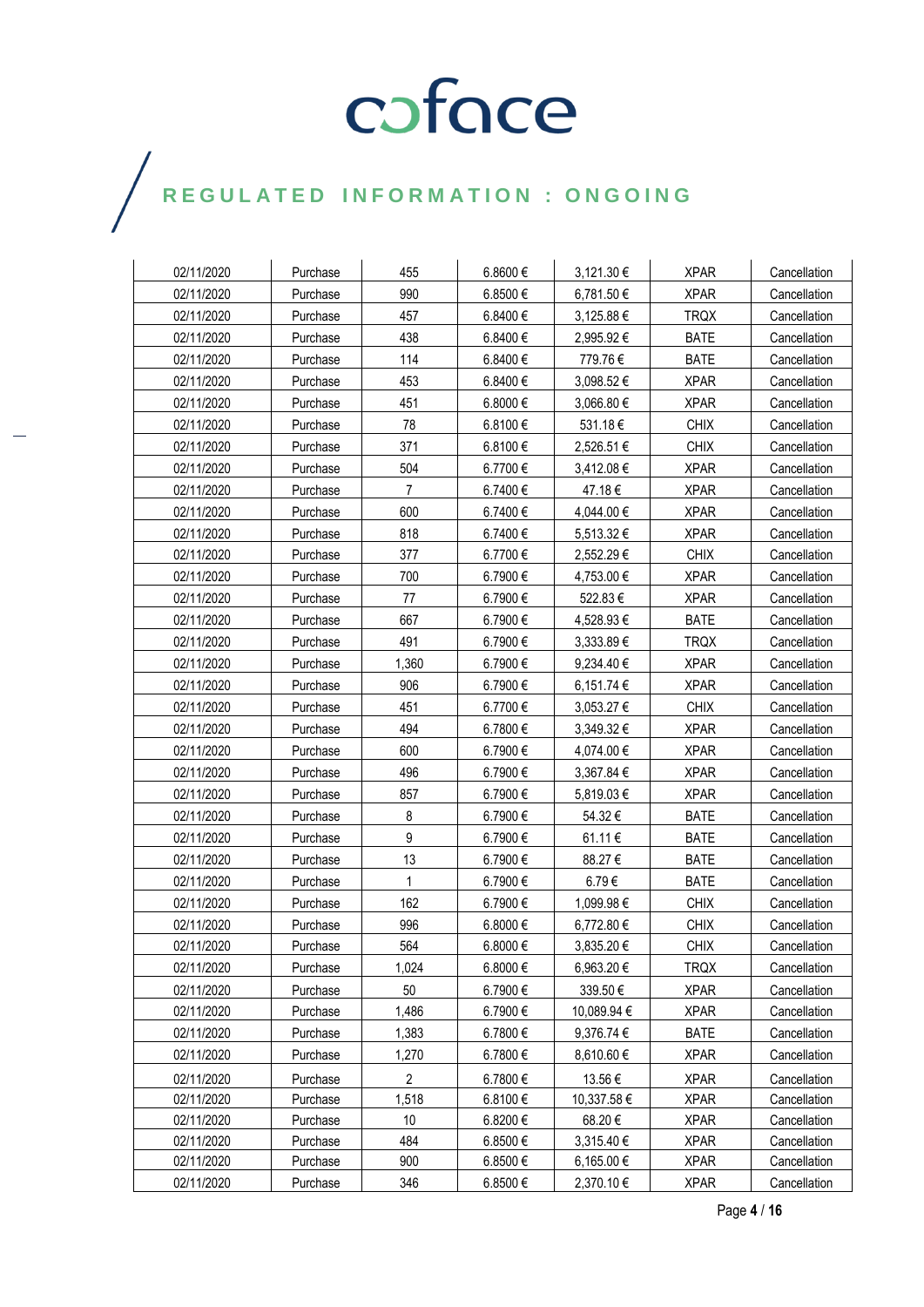### $\bigg)$

| 02/11/2020 | Purchase | 455            | 6.8600€  | 3,121.30 €     | <b>XPAR</b> | Cancellation |
|------------|----------|----------------|----------|----------------|-------------|--------------|
| 02/11/2020 | Purchase | 990            | 6.8500€  | 6,781.50 €     | <b>XPAR</b> | Cancellation |
| 02/11/2020 | Purchase | 457            | 6.8400€  | 3,125.88 €     | <b>TRQX</b> | Cancellation |
| 02/11/2020 | Purchase | 438            | 6.8400€  | 2,995.92€      | <b>BATE</b> | Cancellation |
| 02/11/2020 | Purchase | 114            | 6.8400€  | 779.76€        | <b>BATE</b> | Cancellation |
| 02/11/2020 | Purchase | 453            | 6.8400€  | 3,098.52 €     | <b>XPAR</b> | Cancellation |
| 02/11/2020 | Purchase | 451            | 6.8000€  | 3,066.80 €     | <b>XPAR</b> | Cancellation |
| 02/11/2020 | Purchase | 78             | 6.8100€  | 531.18€        | <b>CHIX</b> | Cancellation |
| 02/11/2020 | Purchase | 371            | 6.8100€  | 2,526.51 €     | <b>CHIX</b> | Cancellation |
| 02/11/2020 | Purchase | 504            | 6.7700€  | 3,412.08€      | <b>XPAR</b> | Cancellation |
| 02/11/2020 | Purchase | $\overline{7}$ | 6.7400€  | 47.18€         | <b>XPAR</b> | Cancellation |
| 02/11/2020 | Purchase | 600            | 6.7400€  | 4,044.00 €     | <b>XPAR</b> | Cancellation |
| 02/11/2020 | Purchase | 818            | 6.7400€  | 5,513.32€      | <b>XPAR</b> | Cancellation |
| 02/11/2020 | Purchase | 377            | 6.7700€  | 2,552.29€      | <b>CHIX</b> | Cancellation |
| 02/11/2020 | Purchase | 700            | 6.7900€  | 4,753.00 €     | <b>XPAR</b> | Cancellation |
| 02/11/2020 | Purchase | 77             | 6.7900€  | 522.83€        | <b>XPAR</b> | Cancellation |
| 02/11/2020 | Purchase | 667            | 6.7900€  | 4,528.93€      | <b>BATE</b> | Cancellation |
| 02/11/2020 | Purchase | 491            | 6.7900€  | $3,333.89 \in$ | <b>TRQX</b> | Cancellation |
| 02/11/2020 | Purchase | 1,360          | 6.7900€  | 9,234.40 €     | <b>XPAR</b> | Cancellation |
| 02/11/2020 | Purchase | 906            | 6.7900€  | 6,151.74 €     | <b>XPAR</b> | Cancellation |
| 02/11/2020 | Purchase | 451            | 6.7700€  | 3,053.27 €     | <b>CHIX</b> | Cancellation |
| 02/11/2020 | Purchase | 494            | 6.7800€  | 3,349.32€      | <b>XPAR</b> | Cancellation |
| 02/11/2020 | Purchase | 600            | 6.7900€  | 4,074.00 €     | <b>XPAR</b> | Cancellation |
| 02/11/2020 | Purchase | 496            | 6.7900€  | 3,367.84 €     | <b>XPAR</b> | Cancellation |
| 02/11/2020 | Purchase | 857            | 6.7900€  | 5,819.03€      | <b>XPAR</b> | Cancellation |
| 02/11/2020 | Purchase | 8              | 6.7900€  | 54.32€         | <b>BATE</b> | Cancellation |
| 02/11/2020 | Purchase | 9              | 6.7900€  | 61.11€         | <b>BATE</b> | Cancellation |
| 02/11/2020 | Purchase | 13             | 6.7900€  | 88.27€         | <b>BATE</b> | Cancellation |
| 02/11/2020 | Purchase | $\mathbf{1}$   | 6.7900€  | 6.79€          | <b>BATE</b> | Cancellation |
| 02/11/2020 | Purchase | 162            | 6.7900€  | 1,099.98 €     | <b>CHIX</b> | Cancellation |
| 02/11/2020 | Purchase | 996            | 6.8000€  | 6,772.80 €     | <b>CHIX</b> | Cancellation |
| 02/11/2020 | Purchase | 564            | 6.8000 € | 3,835.20 €     | <b>CHIX</b> | Cancellation |
| 02/11/2020 | Purchase | 1,024          | 6.8000€  | 6,963.20€      | <b>TRQX</b> | Cancellation |
| 02/11/2020 | Purchase | 50             | 6.7900€  | 339.50€        | <b>XPAR</b> | Cancellation |
| 02/11/2020 | Purchase | 1,486          | 6.7900€  | 10,089.94 €    | <b>XPAR</b> | Cancellation |
| 02/11/2020 | Purchase | 1,383          | 6.7800€  | 9,376.74 €     | <b>BATE</b> | Cancellation |
| 02/11/2020 | Purchase | 1,270          | 6.7800€  | 8,610.60€      | <b>XPAR</b> | Cancellation |
| 02/11/2020 | Purchase | 2              | 6.7800€  | 13.56€         | <b>XPAR</b> | Cancellation |
| 02/11/2020 | Purchase | 1,518          | 6.8100€  | 10,337.58€     | <b>XPAR</b> | Cancellation |
| 02/11/2020 | Purchase | 10             | 6.8200€  | 68.20€         | <b>XPAR</b> | Cancellation |
| 02/11/2020 | Purchase | 484            | 6.8500€  | 3,315.40 €     | <b>XPAR</b> | Cancellation |
| 02/11/2020 | Purchase | 900            | 6.8500€  | 6,165.00 €     | <b>XPAR</b> | Cancellation |
| 02/11/2020 | Purchase | 346            | 6.8500€  | 2,370.10 €     | <b>XPAR</b> | Cancellation |

Page **4** / **16**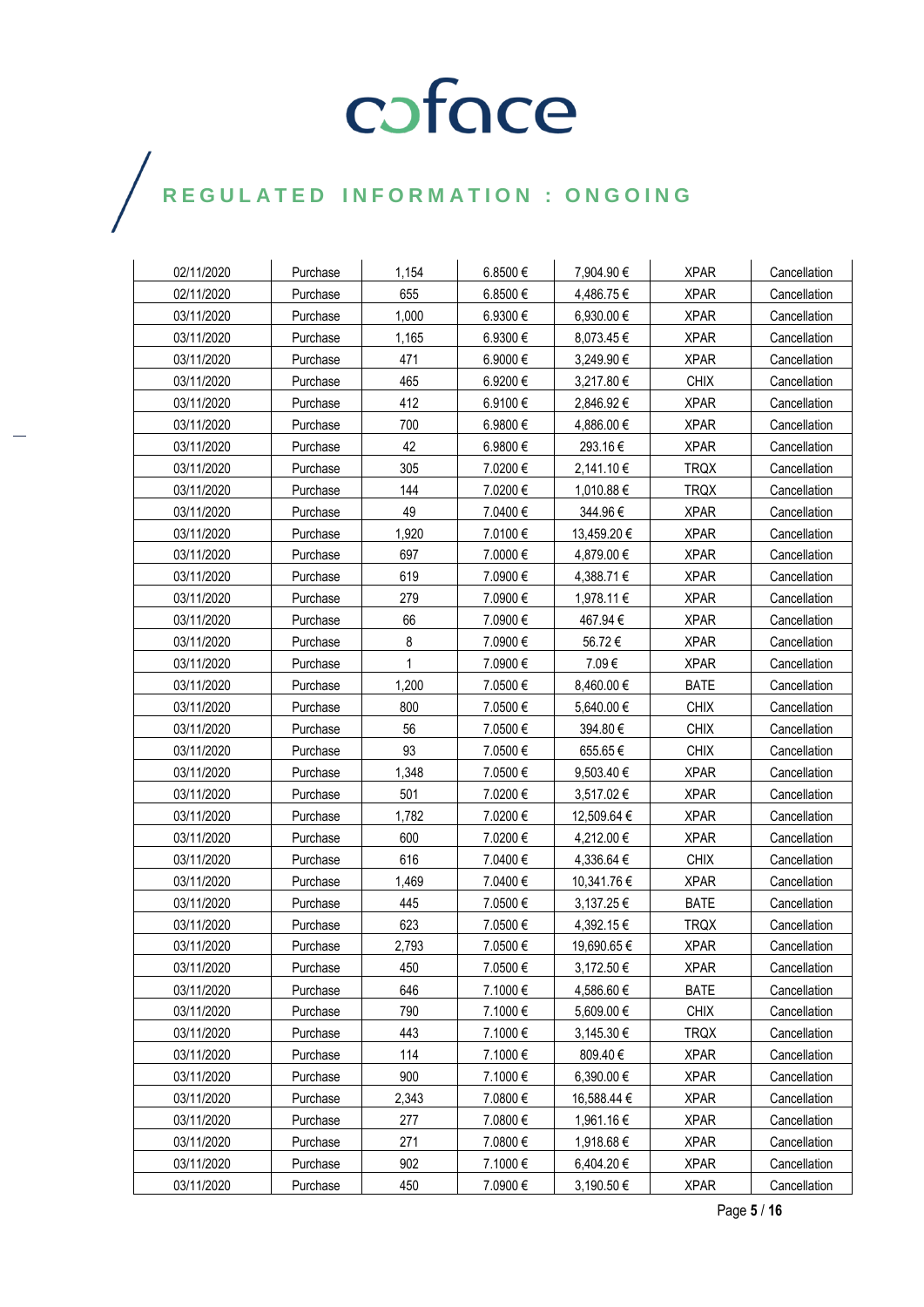### $\bigg)$

| 02/11/2020 | Purchase             | 1,154 | 6.8500 € |                          | <b>XPAR</b> | Cancellation                 |
|------------|----------------------|-------|----------|--------------------------|-------------|------------------------------|
| 02/11/2020 |                      | 655   | 6.8500€  | 7,904.90 €               | <b>XPAR</b> |                              |
| 03/11/2020 | Purchase<br>Purchase | 1,000 | 6.9300€  | 4,486.75 €<br>6,930.00 € | <b>XPAR</b> | Cancellation<br>Cancellation |
| 03/11/2020 | Purchase             | 1,165 | 6.9300€  | 8,073.45 €               | <b>XPAR</b> | Cancellation                 |
| 03/11/2020 | Purchase             | 471   |          |                          | <b>XPAR</b> | Cancellation                 |
|            |                      |       | 6.9000€  | 3,249.90 €               |             |                              |
| 03/11/2020 | Purchase             | 465   | 6.9200€  | 3,217.80 €               | <b>CHIX</b> | Cancellation                 |
| 03/11/2020 | Purchase             | 412   | 6.9100€  | 2,846.92 €               | <b>XPAR</b> | Cancellation                 |
| 03/11/2020 | Purchase             | 700   | 6.9800€  | 4,886.00 €               | <b>XPAR</b> | Cancellation                 |
| 03/11/2020 | Purchase             | 42    | 6.9800 € | 293.16€                  | <b>XPAR</b> | Cancellation                 |
| 03/11/2020 | Purchase             | 305   | 7.0200€  | 2,141.10 €               | <b>TRQX</b> | Cancellation                 |
| 03/11/2020 | Purchase             | 144   | 7.0200€  | 1,010.88 €               | <b>TRQX</b> | Cancellation                 |
| 03/11/2020 | Purchase             | 49    | 7.0400€  | 344.96€                  | <b>XPAR</b> | Cancellation                 |
| 03/11/2020 | Purchase             | 1,920 | 7.0100€  | 13,459.20 €              | <b>XPAR</b> | Cancellation                 |
| 03/11/2020 | Purchase             | 697   | 7.0000 € | 4,879.00 €               | <b>XPAR</b> | Cancellation                 |
| 03/11/2020 | Purchase             | 619   | 7.0900 € | 4,388.71 €               | <b>XPAR</b> | Cancellation                 |
| 03/11/2020 | Purchase             | 279   | 7.0900€  | 1,978.11 €               | <b>XPAR</b> | Cancellation                 |
| 03/11/2020 | Purchase             | 66    | 7.0900€  | 467.94€                  | <b>XPAR</b> | Cancellation                 |
| 03/11/2020 | Purchase             | 8     | 7.0900 € | 56.72€                   | <b>XPAR</b> | Cancellation                 |
| 03/11/2020 | Purchase             | 1     | 7.0900€  | 7.09€                    | <b>XPAR</b> | Cancellation                 |
| 03/11/2020 | Purchase             | 1,200 | 7.0500€  | 8,460.00 €               | <b>BATE</b> | Cancellation                 |
| 03/11/2020 | Purchase             | 800   | 7.0500€  | 5,640.00 €               | <b>CHIX</b> | Cancellation                 |
| 03/11/2020 | Purchase             | 56    | 7.0500€  | 394.80€                  | <b>CHIX</b> | Cancellation                 |
| 03/11/2020 | Purchase             | 93    | 7.0500€  | 655.65€                  | <b>CHIX</b> | Cancellation                 |
| 03/11/2020 | Purchase             | 1,348 | 7.0500€  | 9,503.40 €               | <b>XPAR</b> | Cancellation                 |
| 03/11/2020 | Purchase             | 501   | 7.0200€  | 3,517.02 €               | <b>XPAR</b> | Cancellation                 |
| 03/11/2020 | Purchase             | 1,782 | 7.0200€  | 12,509.64 €              | <b>XPAR</b> | Cancellation                 |
| 03/11/2020 | Purchase             | 600   | 7.0200€  | 4,212.00 €               | <b>XPAR</b> | Cancellation                 |
| 03/11/2020 | Purchase             | 616   | 7.0400€  | 4,336.64 €               | <b>CHIX</b> | Cancellation                 |
| 03/11/2020 | Purchase             | 1,469 | 7.0400€  | 10,341.76 €              | <b>XPAR</b> | Cancellation                 |
| 03/11/2020 | Purchase             | 445   | 7.0500€  | 3,137.25 €               | <b>BATE</b> | Cancellation                 |
| 03/11/2020 | Purchase             | 623   | 7.0500€  | 4,392.15 €               | <b>TRQX</b> | Cancellation                 |
| 03/11/2020 | Purchase             | 2,793 | 7.0500€  | 19,690.65 €              | <b>XPAR</b> | Cancellation                 |
| 03/11/2020 | Purchase             | 450   | 7.0500€  | 3,172.50€                | <b>XPAR</b> | Cancellation                 |
| 03/11/2020 | Purchase             | 646   | 7.1000€  | 4,586.60€                | <b>BATE</b> | Cancellation                 |
| 03/11/2020 | Purchase             | 790   | 7.1000€  | 5,609.00 €               | <b>CHIX</b> | Cancellation                 |
| 03/11/2020 | Purchase             | 443   | 7.1000€  | 3,145.30 €               | <b>TRQX</b> | Cancellation                 |
| 03/11/2020 | Purchase             | 114   | 7.1000€  | 809.40€                  | <b>XPAR</b> | Cancellation                 |
| 03/11/2020 | Purchase             | 900   | 7.1000€  | 6,390.00 €               | <b>XPAR</b> | Cancellation                 |
| 03/11/2020 | Purchase             | 2,343 | 7.0800€  | 16,588.44 €              | <b>XPAR</b> | Cancellation                 |
| 03/11/2020 | Purchase             | 277   | 7.0800€  | 1,961.16 €               | <b>XPAR</b> | Cancellation                 |
| 03/11/2020 | Purchase             | 271   | 7.0800€  | 1,918.68€                | <b>XPAR</b> | Cancellation                 |
| 03/11/2020 | Purchase             | 902   | 7.1000€  | 6,404.20€                | <b>XPAR</b> | Cancellation                 |
| 03/11/2020 | Purchase             | 450   | 7.0900€  | 3,190.50 €               | <b>XPAR</b> | Cancellation                 |

Page **5** / **16**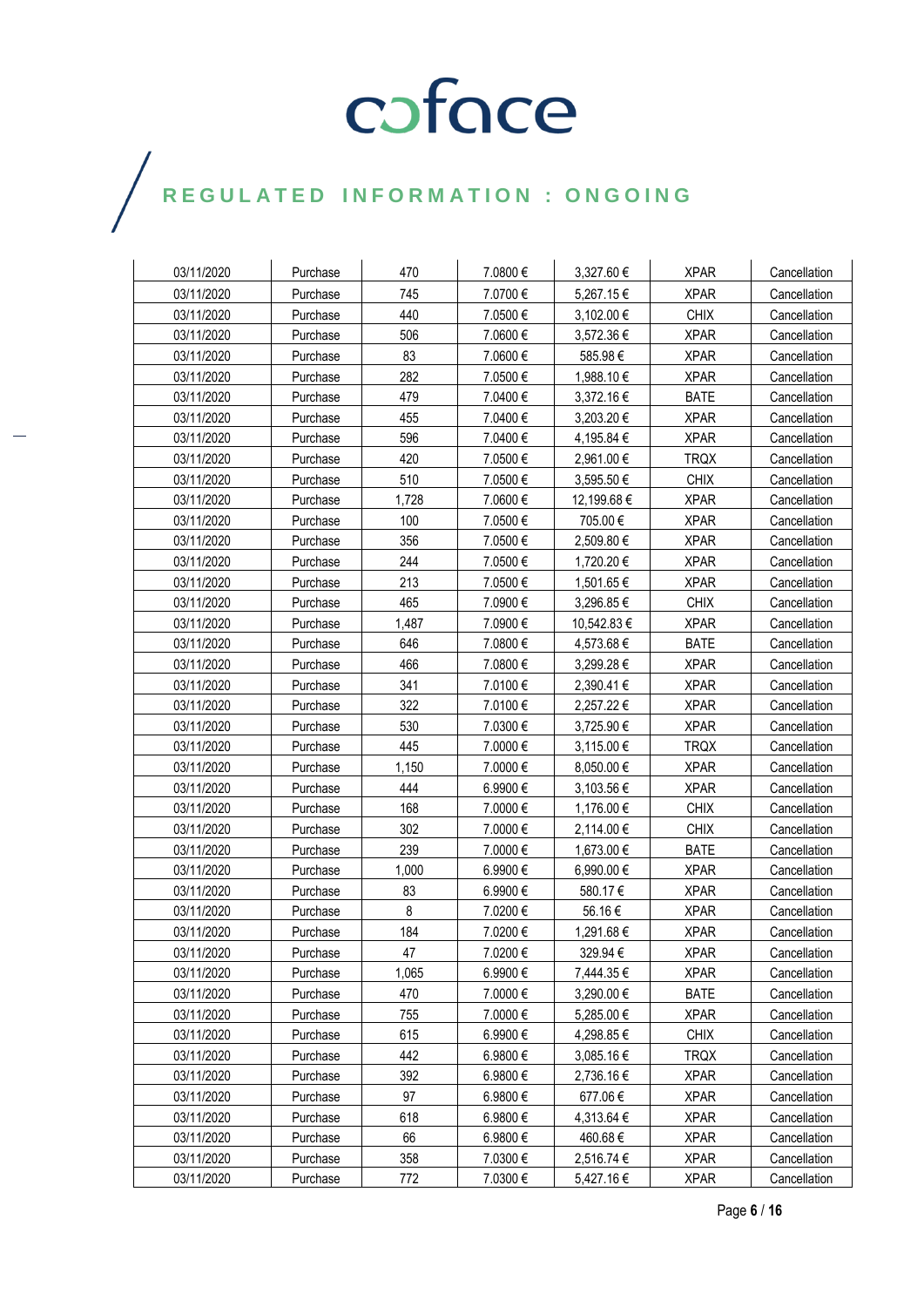| 03/11/2020 | Purchase | 470   | 7.0800€  | 3,327.60 €  | <b>XPAR</b> | Cancellation |
|------------|----------|-------|----------|-------------|-------------|--------------|
| 03/11/2020 | Purchase | 745   | 7.0700€  | 5,267.15€   | <b>XPAR</b> | Cancellation |
| 03/11/2020 | Purchase | 440   | 7.0500€  | 3,102.00 €  | <b>CHIX</b> | Cancellation |
| 03/11/2020 | Purchase | 506   | 7.0600€  | 3,572.36 €  | <b>XPAR</b> | Cancellation |
| 03/11/2020 | Purchase | 83    | 7.0600 € | 585.98€     | <b>XPAR</b> | Cancellation |
| 03/11/2020 | Purchase | 282   | 7.0500€  | 1,988.10 €  | <b>XPAR</b> | Cancellation |
| 03/11/2020 | Purchase | 479   | 7.0400€  | 3,372.16 €  | <b>BATE</b> | Cancellation |
| 03/11/2020 | Purchase | 455   | 7.0400€  | 3,203.20€   | <b>XPAR</b> | Cancellation |
| 03/11/2020 | Purchase | 596   | 7.0400 € | 4,195.84 €  | <b>XPAR</b> | Cancellation |
| 03/11/2020 | Purchase | 420   | 7.0500€  | 2,961.00 €  | <b>TRQX</b> | Cancellation |
| 03/11/2020 | Purchase | 510   | 7.0500€  | 3,595.50 €  | <b>CHIX</b> | Cancellation |
| 03/11/2020 | Purchase | 1,728 | 7.0600€  | 12,199.68 € | <b>XPAR</b> | Cancellation |
| 03/11/2020 | Purchase | 100   | 7.0500€  | 705.00€     | <b>XPAR</b> | Cancellation |
| 03/11/2020 | Purchase | 356   | 7.0500€  | 2,509.80 €  | <b>XPAR</b> | Cancellation |
| 03/11/2020 | Purchase | 244   | 7.0500€  | 1,720.20€   | <b>XPAR</b> | Cancellation |
| 03/11/2020 | Purchase | 213   | 7.0500€  | 1,501.65 €  | <b>XPAR</b> | Cancellation |
| 03/11/2020 | Purchase | 465   | 7.0900€  | 3,296.85€   | <b>CHIX</b> | Cancellation |
| 03/11/2020 | Purchase | 1,487 | 7.0900 € | 10,542.83 € | <b>XPAR</b> | Cancellation |
| 03/11/2020 | Purchase | 646   | 7.0800€  | 4,573.68€   | <b>BATE</b> | Cancellation |
| 03/11/2020 | Purchase | 466   | 7.0800€  | 3,299.28€   | <b>XPAR</b> | Cancellation |
| 03/11/2020 | Purchase | 341   | 7.0100€  | 2,390.41 €  | <b>XPAR</b> | Cancellation |
| 03/11/2020 | Purchase | 322   | 7.0100€  | 2,257.22€   | <b>XPAR</b> | Cancellation |
| 03/11/2020 | Purchase | 530   | 7.0300 € | 3,725.90 €  | <b>XPAR</b> | Cancellation |
| 03/11/2020 | Purchase | 445   | 7.0000€  | 3,115.00 €  | <b>TRQX</b> | Cancellation |
| 03/11/2020 | Purchase | 1,150 | 7.0000€  | 8,050.00 €  | <b>XPAR</b> | Cancellation |
| 03/11/2020 | Purchase | 444   | 6.9900€  | 3,103.56 €  | <b>XPAR</b> | Cancellation |
| 03/11/2020 | Purchase | 168   | 7.0000€  | 1,176.00 €  | <b>CHIX</b> | Cancellation |
| 03/11/2020 | Purchase | 302   | 7.0000 € | 2,114.00 €  | <b>CHIX</b> | Cancellation |
| 03/11/2020 | Purchase | 239   | 7.0000 € | 1,673.00 €  | <b>BATE</b> | Cancellation |
| 03/11/2020 | Purchase | 1,000 | 6.9900€  | 6,990.00 €  | <b>XPAR</b> | Cancellation |
| 03/11/2020 | Purchase | 83    | 6.9900€  | 580.17€     | <b>XPAR</b> | Cancellation |
| 03/11/2020 | Purchase | 8     | 7.0200€  | 56.16€      | <b>XPAR</b> | Cancellation |
| 03/11/2020 | Purchase | 184   | 7.0200€  | 1,291.68€   | <b>XPAR</b> | Cancellation |
| 03/11/2020 | Purchase | 47    | 7.0200€  | 329.94€     | <b>XPAR</b> | Cancellation |
| 03/11/2020 | Purchase | 1,065 | 6.9900€  | 7,444.35 €  | <b>XPAR</b> | Cancellation |
| 03/11/2020 | Purchase | 470   | 7.0000 € | 3,290.00 €  | <b>BATE</b> | Cancellation |
| 03/11/2020 | Purchase | 755   | 7.0000 € | 5,285.00 €  | <b>XPAR</b> | Cancellation |
| 03/11/2020 | Purchase | 615   | 6.9900€  | 4,298.85€   | <b>CHIX</b> | Cancellation |
| 03/11/2020 | Purchase | 442   | 6.9800€  | 3,085.16€   | <b>TRQX</b> | Cancellation |
| 03/11/2020 | Purchase | 392   | 6.9800€  | 2,736.16 €  | <b>XPAR</b> | Cancellation |
| 03/11/2020 | Purchase | 97    | 6.9800 € | 677.06€     | <b>XPAR</b> | Cancellation |
| 03/11/2020 | Purchase | 618   | 6.9800 € | 4,313.64 €  | <b>XPAR</b> | Cancellation |
| 03/11/2020 | Purchase | 66    | 6.9800€  | 460.68€     | <b>XPAR</b> | Cancellation |
| 03/11/2020 | Purchase | 358   | 7.0300€  | 2,516.74 €  | <b>XPAR</b> | Cancellation |
| 03/11/2020 | Purchase | 772   | 7.0300€  | 5,427.16€   | <b>XPAR</b> | Cancellation |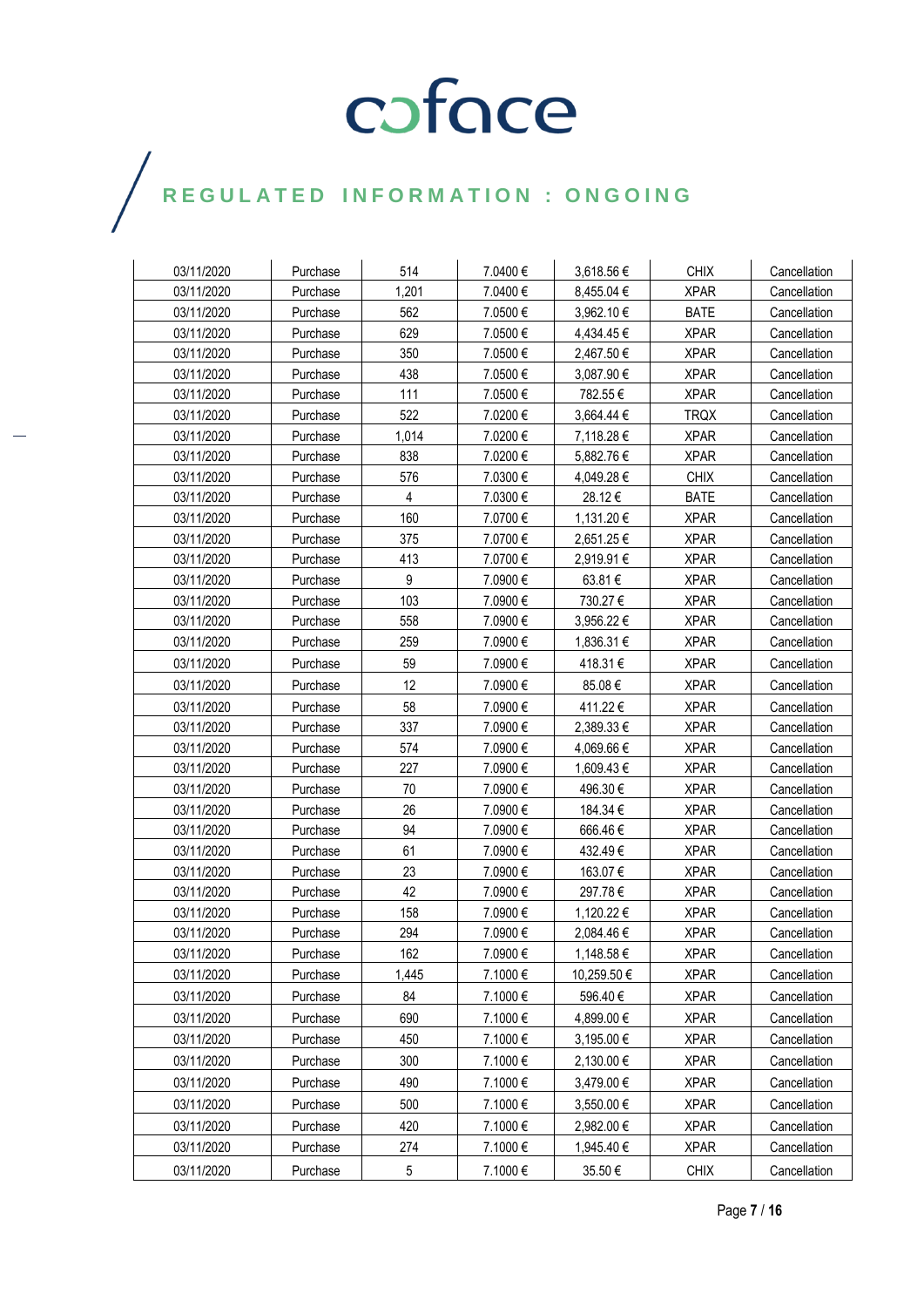| 03/11/2020 | Purchase | 514   | 7.0400€  | 3,618.56€   | <b>CHIX</b> | Cancellation |
|------------|----------|-------|----------|-------------|-------------|--------------|
| 03/11/2020 | Purchase | 1,201 | 7.0400€  | 8,455.04 €  | <b>XPAR</b> | Cancellation |
| 03/11/2020 | Purchase | 562   | 7.0500€  | 3,962.10 €  | <b>BATE</b> | Cancellation |
| 03/11/2020 | Purchase | 629   | 7.0500€  | 4,434.45€   | <b>XPAR</b> | Cancellation |
| 03/11/2020 | Purchase | 350   | 7.0500€  | 2,467.50 €  | <b>XPAR</b> | Cancellation |
| 03/11/2020 | Purchase | 438   | 7.0500€  | 3,087.90€   | <b>XPAR</b> | Cancellation |
| 03/11/2020 | Purchase | 111   | 7.0500€  | 782.55€     | <b>XPAR</b> | Cancellation |
| 03/11/2020 | Purchase | 522   | 7.0200€  | 3,664.44 €  | <b>TRQX</b> | Cancellation |
| 03/11/2020 | Purchase | 1.014 | 7.0200 € | 7,118.28 €  | <b>XPAR</b> | Cancellation |
| 03/11/2020 | Purchase | 838   | 7.0200€  | 5,882.76€   | <b>XPAR</b> | Cancellation |
| 03/11/2020 | Purchase | 576   | 7.0300€  | 4,049.28 €  | <b>CHIX</b> | Cancellation |
| 03/11/2020 | Purchase | 4     | 7.0300€  | 28.12€      | <b>BATE</b> | Cancellation |
| 03/11/2020 | Purchase | 160   | 7.0700€  | 1,131.20€   | <b>XPAR</b> | Cancellation |
| 03/11/2020 | Purchase | 375   | 7.0700€  | 2,651.25 €  | <b>XPAR</b> | Cancellation |
| 03/11/2020 | Purchase | 413   | 7.0700€  | 2,919.91 €  | <b>XPAR</b> | Cancellation |
| 03/11/2020 | Purchase | 9     | 7.0900€  | 63.81€      | <b>XPAR</b> | Cancellation |
| 03/11/2020 | Purchase | 103   | 7.0900€  | 730.27€     | <b>XPAR</b> | Cancellation |
| 03/11/2020 | Purchase | 558   | 7.0900€  | 3,956.22 €  | <b>XPAR</b> | Cancellation |
| 03/11/2020 | Purchase | 259   | 7.0900 € | 1,836.31 €  | <b>XPAR</b> | Cancellation |
| 03/11/2020 | Purchase | 59    | 7.0900€  | 418.31€     | <b>XPAR</b> | Cancellation |
| 03/11/2020 | Purchase | 12    | 7.0900 € | 85.08€      | <b>XPAR</b> | Cancellation |
| 03/11/2020 | Purchase | 58    | 7.0900 € | 411.22€     | <b>XPAR</b> | Cancellation |
| 03/11/2020 | Purchase | 337   | 7.0900 € | 2,389.33 €  | <b>XPAR</b> | Cancellation |
| 03/11/2020 | Purchase | 574   | 7.0900€  | 4,069.66 €  | <b>XPAR</b> | Cancellation |
| 03/11/2020 | Purchase | 227   | 7.0900 € | 1,609.43 €  | <b>XPAR</b> | Cancellation |
| 03/11/2020 | Purchase | 70    | 7.0900 € | 496.30€     | <b>XPAR</b> | Cancellation |
| 03/11/2020 | Purchase | 26    | 7.0900€  | 184.34 €    | <b>XPAR</b> | Cancellation |
| 03/11/2020 | Purchase | 94    | 7.0900€  | 666.46€     | <b>XPAR</b> | Cancellation |
| 03/11/2020 | Purchase | 61    | 7.0900€  | 432.49€     | <b>XPAR</b> | Cancellation |
| 03/11/2020 | Purchase | 23    | 7.0900 € | 163.07 €    | <b>XPAR</b> | Cancellation |
| 03/11/2020 | Purchase | 42    | 7.0900 € | 297.78€     | <b>XPAR</b> | Cancellation |
| 03/11/2020 | Purchase | 158   | 7.0900€  | 1,120.22 €  | <b>XPAR</b> | Cancellation |
| 03/11/2020 | Purchase | 294   | 7.0900€  | 2,084.46€   | <b>XPAR</b> | Cancellation |
| 03/11/2020 | Purchase | 162   | 7.0900€  | 1,148.58€   | <b>XPAR</b> | Cancellation |
| 03/11/2020 | Purchase | 1,445 | 7.1000€  | 10,259.50 € | <b>XPAR</b> | Cancellation |
| 03/11/2020 | Purchase | 84    | 7.1000€  | 596.40€     | <b>XPAR</b> | Cancellation |
| 03/11/2020 | Purchase | 690   | 7.1000€  | 4,899.00 €  | <b>XPAR</b> | Cancellation |
| 03/11/2020 | Purchase | 450   | 7.1000€  | 3,195.00 €  | <b>XPAR</b> | Cancellation |
| 03/11/2020 | Purchase | 300   | 7.1000€  | 2,130.00 €  | <b>XPAR</b> | Cancellation |
| 03/11/2020 | Purchase | 490   | 7.1000€  | 3,479.00 €  | <b>XPAR</b> | Cancellation |
| 03/11/2020 | Purchase | 500   | 7.1000€  | 3,550.00 €  | <b>XPAR</b> | Cancellation |
| 03/11/2020 | Purchase | 420   | 7.1000€  | 2,982.00 €  | <b>XPAR</b> | Cancellation |
| 03/11/2020 | Purchase | 274   | 7.1000€  | 1,945.40 €  | <b>XPAR</b> | Cancellation |
| 03/11/2020 | Purchase | 5     | 7.1000€  | 35.50€      | <b>CHIX</b> | Cancellation |
|            |          |       |          |             |             |              |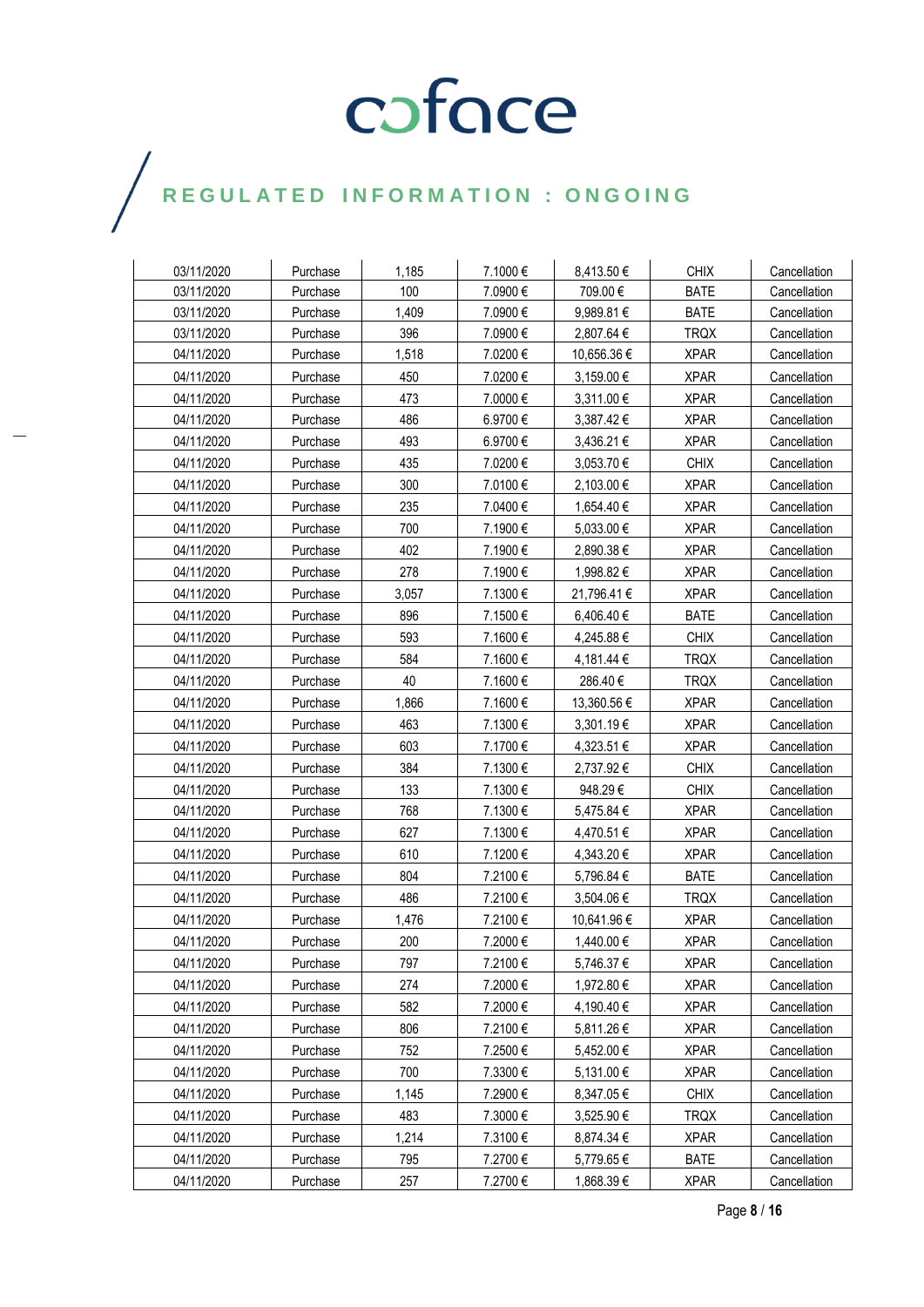### $\bigg)$

| 03/11/2020 | Purchase | 1,185 | 7.1000€  | 8,413.50€   | <b>CHIX</b> | Cancellation |
|------------|----------|-------|----------|-------------|-------------|--------------|
| 03/11/2020 | Purchase | 100   | 7.0900€  | 709.00€     | <b>BATE</b> | Cancellation |
| 03/11/2020 | Purchase | 1,409 | 7.0900€  | 9,989.81€   | <b>BATE</b> | Cancellation |
| 03/11/2020 | Purchase | 396   | 7.0900 € | 2,807.64 €  | <b>TRQX</b> | Cancellation |
| 04/11/2020 | Purchase | 1,518 | 7.0200€  | 10,656.36 € | <b>XPAR</b> | Cancellation |
| 04/11/2020 | Purchase | 450   | 7.0200€  | 3,159.00 €  | <b>XPAR</b> | Cancellation |
| 04/11/2020 | Purchase | 473   | 7.0000€  | 3,311.00 €  | <b>XPAR</b> | Cancellation |
| 04/11/2020 | Purchase | 486   | 6.9700€  | 3,387.42 €  | <b>XPAR</b> | Cancellation |
| 04/11/2020 | Purchase | 493   | 6.9700€  | 3,436.21 €  | <b>XPAR</b> | Cancellation |
| 04/11/2020 | Purchase | 435   | 7.0200€  | 3,053.70€   | <b>CHIX</b> | Cancellation |
| 04/11/2020 | Purchase | 300   | 7.0100€  | 2,103.00 €  | <b>XPAR</b> | Cancellation |
| 04/11/2020 | Purchase | 235   | 7.0400€  | 1,654.40 €  | <b>XPAR</b> | Cancellation |
| 04/11/2020 | Purchase | 700   | 7.1900€  | 5,033.00 €  | <b>XPAR</b> | Cancellation |
| 04/11/2020 | Purchase | 402   | 7.1900€  | 2,890.38 €  | <b>XPAR</b> | Cancellation |
| 04/11/2020 | Purchase | 278   | 7.1900€  | 1,998.82€   | <b>XPAR</b> | Cancellation |
| 04/11/2020 | Purchase | 3,057 | 7.1300€  | 21,796.41 € | <b>XPAR</b> | Cancellation |
| 04/11/2020 | Purchase | 896   | 7.1500€  | 6,406.40 €  | <b>BATE</b> | Cancellation |
| 04/11/2020 | Purchase | 593   | 7.1600€  | 4,245.88 €  | <b>CHIX</b> | Cancellation |
| 04/11/2020 | Purchase | 584   | 7.1600€  | 4,181.44 €  | <b>TRQX</b> | Cancellation |
| 04/11/2020 | Purchase | 40    | 7.1600€  | 286.40€     | <b>TRQX</b> | Cancellation |
| 04/11/2020 | Purchase | 1,866 | 7.1600€  | 13,360.56 € | <b>XPAR</b> | Cancellation |
| 04/11/2020 | Purchase | 463   | 7.1300€  | 3,301.19€   | <b>XPAR</b> | Cancellation |
| 04/11/2020 | Purchase | 603   | 7.1700€  | 4,323.51 €  | <b>XPAR</b> | Cancellation |
| 04/11/2020 | Purchase | 384   | 7.1300€  | 2,737.92€   | <b>CHIX</b> | Cancellation |
| 04/11/2020 | Purchase | 133   | 7.1300€  | 948.29€     | <b>CHIX</b> | Cancellation |
| 04/11/2020 | Purchase | 768   | 7.1300€  | 5,475.84 €  | <b>XPAR</b> | Cancellation |
| 04/11/2020 | Purchase | 627   | 7.1300€  | 4,470.51 €  | <b>XPAR</b> | Cancellation |
| 04/11/2020 | Purchase | 610   | 7.1200€  | 4,343.20€   | <b>XPAR</b> | Cancellation |
| 04/11/2020 | Purchase | 804   | 7.2100€  | 5,796.84 €  | <b>BATE</b> | Cancellation |
| 04/11/2020 | Purchase | 486   | 7.2100€  | 3,504.06 €  | <b>TRQX</b> | Cancellation |
| 04/11/2020 | Purchase | 1,476 | 7.2100€  | 10,641.96 € | <b>XPAR</b> | Cancellation |
| 04/11/2020 | Purchase | 200   | 7.2000€  | 1,440.00 €  | <b>XPAR</b> | Cancellation |
| 04/11/2020 | Purchase | 797   | 7.2100€  | 5,746.37 €  | <b>XPAR</b> | Cancellation |
| 04/11/2020 | Purchase | 274   | 7.2000€  | 1,972.80 €  | <b>XPAR</b> | Cancellation |
| 04/11/2020 | Purchase | 582   | 7.2000€  | 4,190.40 €  | <b>XPAR</b> | Cancellation |
| 04/11/2020 | Purchase | 806   | 7.2100€  | 5,811.26 €  | <b>XPAR</b> | Cancellation |
| 04/11/2020 | Purchase | 752   | 7.2500€  | 5,452.00 €  | <b>XPAR</b> | Cancellation |
| 04/11/2020 | Purchase | 700   | 7.3300€  | 5,131.00 €  | <b>XPAR</b> | Cancellation |
| 04/11/2020 | Purchase | 1,145 | 7.2900€  | 8,347.05 €  | <b>CHIX</b> | Cancellation |
| 04/11/2020 | Purchase | 483   | 7.3000€  | 3,525.90 €  | <b>TRQX</b> | Cancellation |
| 04/11/2020 | Purchase | 1,214 | 7.3100€  | 8,874.34 €  | <b>XPAR</b> | Cancellation |
| 04/11/2020 | Purchase | 795   | 7.2700€  | 5,779.65€   | <b>BATE</b> | Cancellation |
| 04/11/2020 | Purchase | 257   | 7.2700€  | 1,868.39€   | <b>XPAR</b> | Cancellation |

Page **8** / **16**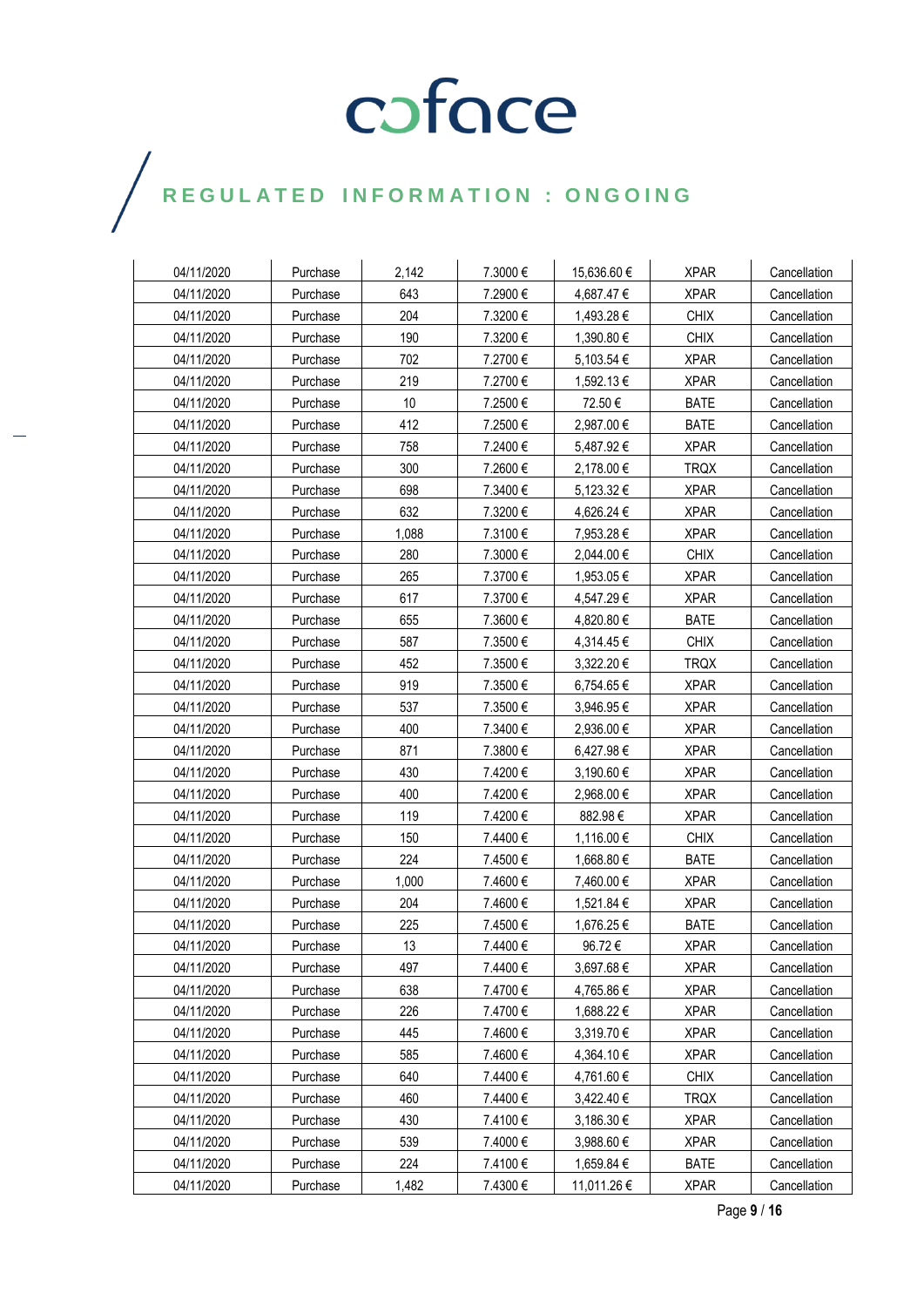### $\bigg)$

| 04/11/2020 | Purchase | 2.142 | 7.3000 € | 15,636.60 € | <b>XPAR</b> | Cancellation |
|------------|----------|-------|----------|-------------|-------------|--------------|
| 04/11/2020 | Purchase | 643   | 7.2900€  | 4,687.47€   | <b>XPAR</b> | Cancellation |
| 04/11/2020 | Purchase | 204   | 7.3200€  | 1,493.28 €  | <b>CHIX</b> | Cancellation |
| 04/11/2020 | Purchase | 190   | 7.3200€  | 1,390.80 €  | <b>CHIX</b> | Cancellation |
| 04/11/2020 | Purchase | 702   | 7.2700€  | 5,103.54 €  | <b>XPAR</b> | Cancellation |
| 04/11/2020 | Purchase | 219   | 7.2700€  | 1,592.13 €  | <b>XPAR</b> | Cancellation |
| 04/11/2020 | Purchase | 10    | 7.2500€  | 72.50€      | <b>BATE</b> | Cancellation |
| 04/11/2020 | Purchase | 412   | 7.2500€  | 2,987.00 €  | <b>BATE</b> | Cancellation |
| 04/11/2020 | Purchase | 758   | 7.2400€  | 5,487.92€   | <b>XPAR</b> | Cancellation |
| 04/11/2020 | Purchase | 300   | 7.2600€  | 2,178.00 €  | <b>TRQX</b> | Cancellation |
| 04/11/2020 | Purchase | 698   | 7.3400€  | 5,123.32 €  | <b>XPAR</b> | Cancellation |
| 04/11/2020 | Purchase | 632   | 7.3200€  | 4,626.24 €  | <b>XPAR</b> | Cancellation |
| 04/11/2020 | Purchase | 1,088 | 7.3100€  | 7,953.28 €  | <b>XPAR</b> | Cancellation |
| 04/11/2020 | Purchase | 280   | 7.3000€  | 2,044.00 €  | <b>CHIX</b> | Cancellation |
| 04/11/2020 | Purchase | 265   | 7.3700€  | 1,953.05 €  | <b>XPAR</b> | Cancellation |
| 04/11/2020 | Purchase | 617   | 7.3700€  | 4,547.29 €  | <b>XPAR</b> | Cancellation |
| 04/11/2020 | Purchase | 655   | 7.3600€  | 4,820.80 €  | <b>BATE</b> | Cancellation |
| 04/11/2020 | Purchase | 587   | 7.3500€  | 4,314.45 €  | <b>CHIX</b> | Cancellation |
| 04/11/2020 | Purchase | 452   | 7.3500€  | 3,322.20 €  | <b>TRQX</b> | Cancellation |
| 04/11/2020 | Purchase | 919   | 7.3500€  | 6,754.65€   | <b>XPAR</b> | Cancellation |
| 04/11/2020 | Purchase | 537   | 7.3500€  | 3,946.95€   | <b>XPAR</b> | Cancellation |
| 04/11/2020 | Purchase | 400   | 7.3400€  | 2,936.00 €  | <b>XPAR</b> | Cancellation |
| 04/11/2020 | Purchase | 871   | 7.3800€  | 6,427.98 €  | <b>XPAR</b> | Cancellation |
| 04/11/2020 | Purchase | 430   | 7.4200€  | 3,190.60 €  | <b>XPAR</b> | Cancellation |
| 04/11/2020 | Purchase | 400   | 7.4200€  | 2,968.00 €  | <b>XPAR</b> | Cancellation |
| 04/11/2020 | Purchase | 119   | 7.4200€  | 882.98€     | <b>XPAR</b> | Cancellation |
| 04/11/2020 | Purchase | 150   | 7.4400 € | 1,116.00 €  | <b>CHIX</b> | Cancellation |
| 04/11/2020 | Purchase | 224   | 7.4500€  | 1,668.80 €  | <b>BATE</b> | Cancellation |
| 04/11/2020 | Purchase | 1,000 | 7.4600€  | 7,460.00 €  | <b>XPAR</b> | Cancellation |
| 04/11/2020 | Purchase | 204   | 7.4600€  | 1,521.84 €  | <b>XPAR</b> | Cancellation |
| 04/11/2020 | Purchase | 225   | 7.4500€  | 1,676.25 €  | <b>BATE</b> | Cancellation |
| 04/11/2020 | Purchase | 13    | 7.4400 € | 96.72€      | <b>XPAR</b> | Cancellation |
| 04/11/2020 | Purchase | 497   | 7.4400€  | 3,697.68€   | <b>XPAR</b> | Cancellation |
| 04/11/2020 | Purchase | 638   | 7.4700€  | 4,765.86€   | <b>XPAR</b> | Cancellation |
| 04/11/2020 | Purchase | 226   | 7.4700€  | 1,688.22 €  | <b>XPAR</b> | Cancellation |
| 04/11/2020 | Purchase | 445   | 7.4600€  | 3,319.70€   | <b>XPAR</b> | Cancellation |
| 04/11/2020 | Purchase | 585   | 7.4600€  | 4,364.10€   | <b>XPAR</b> | Cancellation |
| 04/11/2020 | Purchase | 640   | 7.4400€  | 4,761.60 €  | <b>CHIX</b> | Cancellation |
| 04/11/2020 | Purchase | 460   | 7.4400€  | 3,422.40 €  | <b>TRQX</b> | Cancellation |
| 04/11/2020 | Purchase | 430   | 7.4100 € | 3,186.30 €  | <b>XPAR</b> | Cancellation |
| 04/11/2020 | Purchase | 539   | 7.4000€  | 3,988.60 €  | <b>XPAR</b> | Cancellation |
| 04/11/2020 | Purchase | 224   | 7.4100€  | 1,659.84 €  | <b>BATE</b> | Cancellation |
| 04/11/2020 | Purchase | 1,482 | 7.4300€  | 11,011.26 € | <b>XPAR</b> | Cancellation |

Page **9** / **16**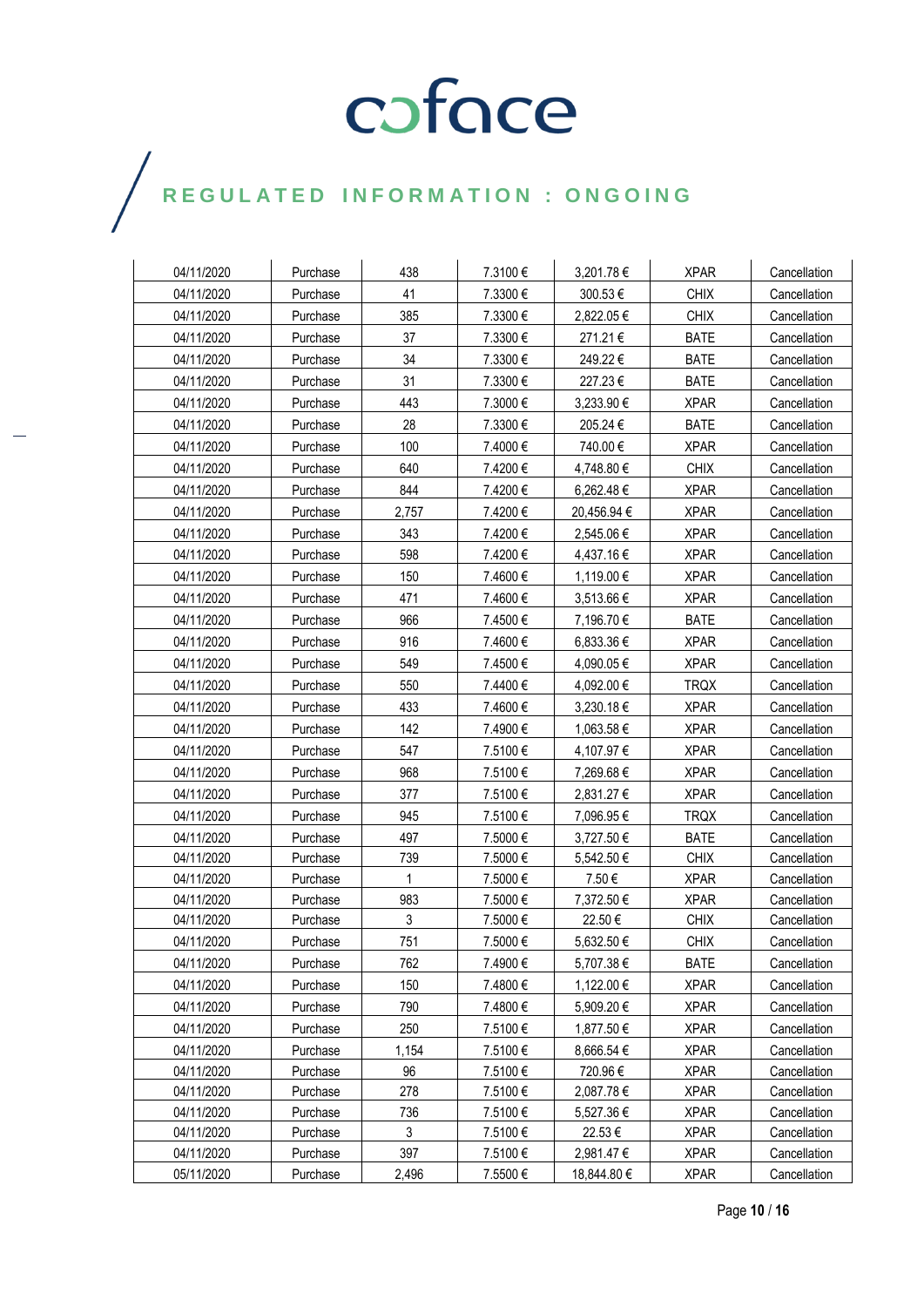| 04/11/2020 | Purchase | 438   | 7.3100€  | 3,201.78€   | <b>XPAR</b> | Cancellation |
|------------|----------|-------|----------|-------------|-------------|--------------|
| 04/11/2020 | Purchase | 41    | 7.3300€  | 300.53€     | <b>CHIX</b> | Cancellation |
| 04/11/2020 | Purchase | 385   | 7.3300 € | 2,822.05 €  | <b>CHIX</b> | Cancellation |
| 04/11/2020 | Purchase | 37    | 7.3300€  | 271.21€     | <b>BATE</b> | Cancellation |
| 04/11/2020 | Purchase | 34    | 7.3300€  | 249.22€     | <b>BATE</b> | Cancellation |
| 04/11/2020 | Purchase | 31    | 7.3300€  | 227.23€     | <b>BATE</b> | Cancellation |
| 04/11/2020 | Purchase | 443   | 7.3000€  | 3,233.90 €  | <b>XPAR</b> | Cancellation |
| 04/11/2020 | Purchase | 28    | 7.3300 € | 205.24€     | <b>BATE</b> | Cancellation |
| 04/11/2020 | Purchase | 100   | 7.4000€  | 740.00€     | <b>XPAR</b> | Cancellation |
| 04/11/2020 | Purchase | 640   | 7.4200€  | 4,748.80 €  | <b>CHIX</b> | Cancellation |
| 04/11/2020 | Purchase | 844   | 7.4200€  | 6,262.48 €  | <b>XPAR</b> | Cancellation |
| 04/11/2020 | Purchase | 2,757 | 7.4200€  | 20,456.94 € | <b>XPAR</b> | Cancellation |
| 04/11/2020 | Purchase | 343   | 7.4200€  | 2,545.06€   | <b>XPAR</b> | Cancellation |
| 04/11/2020 | Purchase | 598   | 7.4200€  | 4,437.16€   | <b>XPAR</b> | Cancellation |
| 04/11/2020 | Purchase | 150   | 7.4600€  | 1,119.00 €  | <b>XPAR</b> | Cancellation |
| 04/11/2020 | Purchase | 471   | 7.4600€  | 3,513.66 €  | <b>XPAR</b> | Cancellation |
| 04/11/2020 | Purchase | 966   | 7.4500€  | 7,196.70 €  | <b>BATE</b> | Cancellation |
| 04/11/2020 | Purchase | 916   | 7.4600€  | 6,833.36 €  | <b>XPAR</b> | Cancellation |
| 04/11/2020 | Purchase | 549   | 7.4500€  | 4,090.05€   | <b>XPAR</b> | Cancellation |
| 04/11/2020 | Purchase | 550   | 7.4400€  | 4,092.00 €  | <b>TRQX</b> | Cancellation |
| 04/11/2020 | Purchase | 433   | 7.4600€  | 3,230.18€   | <b>XPAR</b> | Cancellation |
| 04/11/2020 | Purchase | 142   | 7.4900€  | 1,063.58€   | <b>XPAR</b> | Cancellation |
| 04/11/2020 | Purchase | 547   | 7.5100€  | 4,107.97 €  | <b>XPAR</b> | Cancellation |
| 04/11/2020 | Purchase | 968   | 7.5100€  | 7,269.68 €  | <b>XPAR</b> | Cancellation |
| 04/11/2020 | Purchase | 377   | 7.5100€  | 2,831.27 €  | <b>XPAR</b> | Cancellation |
| 04/11/2020 | Purchase | 945   | 7.5100€  | 7,096.95€   | <b>TRQX</b> | Cancellation |
| 04/11/2020 | Purchase | 497   | 7.5000€  | 3,727.50 €  | <b>BATE</b> | Cancellation |
| 04/11/2020 | Purchase | 739   | 7.5000€  | 5,542.50 €  | <b>CHIX</b> | Cancellation |
| 04/11/2020 | Purchase | 1     | 7.5000 € | 7.50€       | <b>XPAR</b> | Cancellation |
| 04/11/2020 | Purchase | 983   | 7.5000€  | 7,372.50 €  | <b>XPAR</b> | Cancellation |
| 04/11/2020 | Purchase | 3     | 7.5000€  | 22.50€      | <b>CHIX</b> | Cancellation |
| 04/11/2020 | Purchase | 751   | 7.5000€  | 5,632.50 €  | <b>CHIX</b> | Cancellation |
| 04/11/2020 | Purchase | 762   | 7.4900€  | 5,707.38€   | <b>BATE</b> | Cancellation |
| 04/11/2020 | Purchase | 150   | 7.4800€  | 1,122.00 €  | <b>XPAR</b> | Cancellation |
| 04/11/2020 | Purchase | 790   | 7.4800€  | 5,909.20€   | <b>XPAR</b> | Cancellation |
| 04/11/2020 | Purchase | 250   | 7.5100€  | 1,877.50 €  | <b>XPAR</b> | Cancellation |
| 04/11/2020 | Purchase | 1,154 | 7.5100€  | 8,666.54 €  | <b>XPAR</b> | Cancellation |
| 04/11/2020 | Purchase | 96    | 7.5100€  | 720.96€     | <b>XPAR</b> | Cancellation |
| 04/11/2020 | Purchase | 278   | 7.5100€  | 2,087.78€   | <b>XPAR</b> | Cancellation |
| 04/11/2020 | Purchase | 736   | 7.5100€  | 5,527.36€   | <b>XPAR</b> | Cancellation |
| 04/11/2020 | Purchase | 3     | 7.5100€  | 22.53€      | <b>XPAR</b> | Cancellation |
| 04/11/2020 | Purchase | 397   | 7.5100€  | 2,981.47 €  | <b>XPAR</b> | Cancellation |
| 05/11/2020 | Purchase | 2,496 | 7.5500€  | 18,844.80 € | <b>XPAR</b> | Cancellation |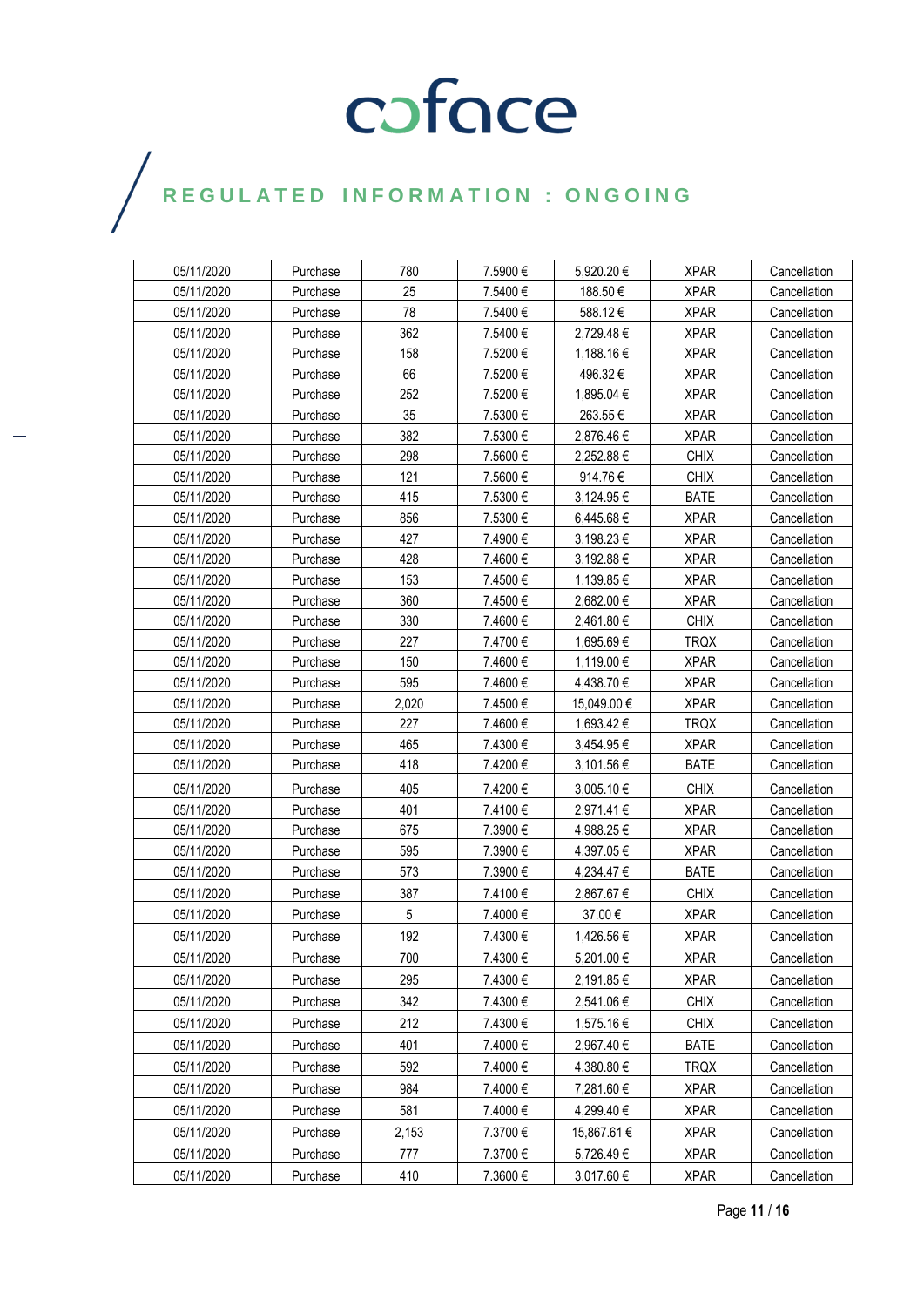| 05/11/2020 | Purchase | 780             | 7.5900€  | 5,920.20€   | <b>XPAR</b> | Cancellation |
|------------|----------|-----------------|----------|-------------|-------------|--------------|
| 05/11/2020 | Purchase | 25              | 7.5400€  | 188.50€     | <b>XPAR</b> | Cancellation |
| 05/11/2020 | Purchase | 78              | 7.5400€  | 588.12€     | <b>XPAR</b> | Cancellation |
| 05/11/2020 | Purchase | 362             | 7.5400€  | 2,729.48€   | <b>XPAR</b> | Cancellation |
| 05/11/2020 | Purchase | 158             | 7.5200€  | 1,188.16 €  | <b>XPAR</b> | Cancellation |
| 05/11/2020 | Purchase | 66              | 7.5200€  | 496.32€     | <b>XPAR</b> | Cancellation |
| 05/11/2020 | Purchase | 252             | 7.5200€  | 1,895.04 €  | <b>XPAR</b> | Cancellation |
| 05/11/2020 | Purchase | 35              | 7.5300€  | 263.55€     | <b>XPAR</b> | Cancellation |
| 05/11/2020 | Purchase | 382             | 7.5300€  | 2,876.46€   | <b>XPAR</b> | Cancellation |
| 05/11/2020 | Purchase | 298             | 7.5600€  | 2,252.88 €  | <b>CHIX</b> | Cancellation |
| 05/11/2020 | Purchase | 121             | 7.5600€  | 914.76€     | <b>CHIX</b> | Cancellation |
| 05/11/2020 | Purchase | 415             | 7.5300€  | 3,124.95 €  | <b>BATE</b> | Cancellation |
| 05/11/2020 | Purchase | 856             | 7.5300€  | 6,445.68€   | <b>XPAR</b> | Cancellation |
| 05/11/2020 | Purchase | 427             | 7.4900€  | 3,198.23 €  | <b>XPAR</b> | Cancellation |
| 05/11/2020 | Purchase | 428             | 7.4600€  | 3,192.88 €  | <b>XPAR</b> | Cancellation |
| 05/11/2020 | Purchase | 153             | 7.4500€  | 1,139.85€   | <b>XPAR</b> | Cancellation |
| 05/11/2020 | Purchase | 360             | 7.4500€  | 2,682.00 €  | <b>XPAR</b> | Cancellation |
| 05/11/2020 | Purchase | 330             | 7.4600€  | 2,461.80 €  | <b>CHIX</b> | Cancellation |
| 05/11/2020 | Purchase | 227             | 7.4700€  | 1,695.69€   | <b>TRQX</b> | Cancellation |
| 05/11/2020 | Purchase | 150             | 7.4600€  | 1,119.00 €  | <b>XPAR</b> | Cancellation |
| 05/11/2020 | Purchase | 595             | 7.4600€  | 4,438.70 €  | <b>XPAR</b> | Cancellation |
| 05/11/2020 | Purchase | 2,020           | 7.4500€  | 15,049.00 € | <b>XPAR</b> | Cancellation |
| 05/11/2020 | Purchase | 227             | 7.4600€  | 1,693.42 €  | <b>TRQX</b> | Cancellation |
| 05/11/2020 | Purchase | 465             | 7.4300 € | 3,454.95 €  | <b>XPAR</b> | Cancellation |
| 05/11/2020 | Purchase | 418             | 7.4200€  | 3,101.56 €  | <b>BATE</b> | Cancellation |
| 05/11/2020 | Purchase | 405             | 7.4200€  | 3,005.10 €  | <b>CHIX</b> | Cancellation |
| 05/11/2020 | Purchase | 401             | 7.4100€  | 2,971.41 €  | <b>XPAR</b> | Cancellation |
| 05/11/2020 | Purchase | 675             | 7.3900€  | 4,988.25€   | <b>XPAR</b> | Cancellation |
| 05/11/2020 | Purchase | 595             | 7.3900€  | 4,397.05€   | <b>XPAR</b> | Cancellation |
| 05/11/2020 | Purchase | 573             | 7.3900€  | 4,234.47 €  | <b>BATE</b> | Cancellation |
| 05/11/2020 | Purchase | 387             | 7.4100€  | 2,867.67 €  | <b>CHIX</b> | Cancellation |
| 05/11/2020 | Purchase | $5\phantom{.0}$ | 7.4000€  | 37.00€      | <b>XPAR</b> | Cancellation |
| 05/11/2020 | Purchase | 192             | 7.4300€  | 1,426.56 €  | <b>XPAR</b> | Cancellation |
| 05/11/2020 | Purchase | 700             | 7.4300 € | 5,201.00 €  | <b>XPAR</b> | Cancellation |
| 05/11/2020 | Purchase | 295             | 7.4300€  | 2,191.85€   | <b>XPAR</b> | Cancellation |
| 05/11/2020 | Purchase | 342             | 7.4300€  | 2,541.06€   | <b>CHIX</b> | Cancellation |
| 05/11/2020 | Purchase | 212             | 7.4300€  | 1,575.16€   | <b>CHIX</b> | Cancellation |
| 05/11/2020 | Purchase | 401             | 7.4000€  | 2,967.40 €  | <b>BATE</b> | Cancellation |
| 05/11/2020 | Purchase | 592             | 7.4000€  | 4,380.80 €  | <b>TRQX</b> | Cancellation |
| 05/11/2020 | Purchase | 984             | 7.4000€  | 7,281.60 €  | <b>XPAR</b> | Cancellation |
| 05/11/2020 | Purchase | 581             | 7.4000€  | 4,299.40 €  | <b>XPAR</b> | Cancellation |
| 05/11/2020 | Purchase | 2,153           | 7.3700€  | 15,867.61 € | <b>XPAR</b> | Cancellation |
| 05/11/2020 | Purchase | 777             | 7.3700€  | 5,726.49€   | <b>XPAR</b> | Cancellation |
|            |          |                 |          |             |             |              |
| 05/11/2020 | Purchase | 410             | 7.3600€  | 3,017.60 €  | <b>XPAR</b> | Cancellation |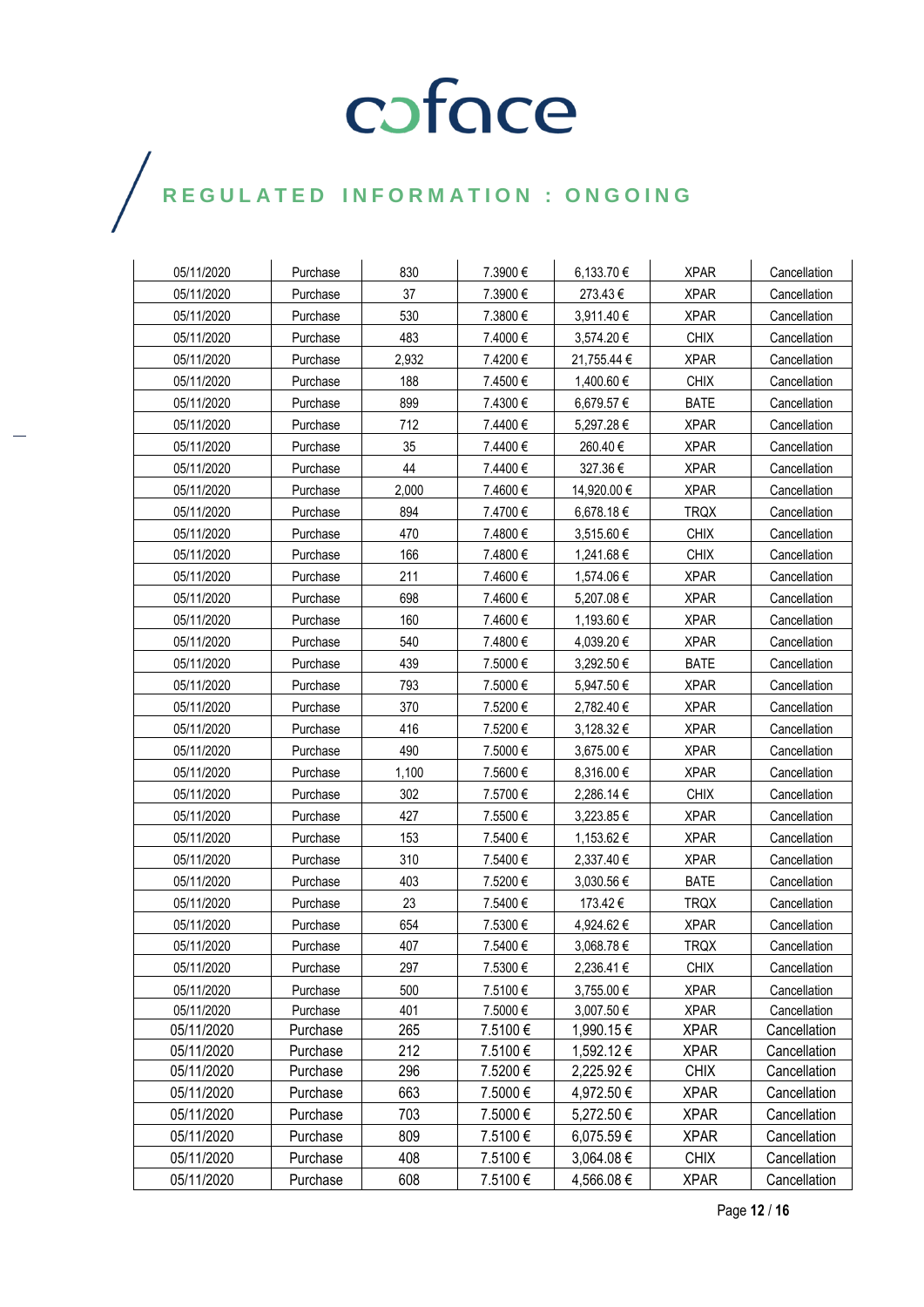### $\bigg)$

| 05/11/2020 | Purchase | 830   | 7.3900 € | 6,133.70€   | <b>XPAR</b> | Cancellation |
|------------|----------|-------|----------|-------------|-------------|--------------|
| 05/11/2020 | Purchase | 37    | 7.3900€  | 273.43€     | <b>XPAR</b> | Cancellation |
| 05/11/2020 | Purchase | 530   | 7.3800€  | 3,911.40 €  | <b>XPAR</b> | Cancellation |
| 05/11/2020 | Purchase | 483   | 7.4000€  | 3,574.20 €  | <b>CHIX</b> | Cancellation |
| 05/11/2020 | Purchase | 2,932 | 7.4200€  | 21,755.44 € | <b>XPAR</b> | Cancellation |
| 05/11/2020 | Purchase | 188   | 7.4500€  | 1,400.60 €  | <b>CHIX</b> | Cancellation |
| 05/11/2020 | Purchase | 899   | 7.4300€  | 6,679.57€   | <b>BATE</b> | Cancellation |
| 05/11/2020 | Purchase | 712   | 7.4400€  | 5,297.28€   | <b>XPAR</b> | Cancellation |
| 05/11/2020 | Purchase | 35    | 7.4400 € | 260.40€     | <b>XPAR</b> | Cancellation |
| 05/11/2020 | Purchase | 44    | 7.4400€  | 327.36€     | <b>XPAR</b> | Cancellation |
| 05/11/2020 | Purchase | 2,000 | 7.4600€  | 14,920.00 € | <b>XPAR</b> | Cancellation |
| 05/11/2020 | Purchase | 894   | 7.4700€  | 6,678.18 €  | <b>TRQX</b> | Cancellation |
| 05/11/2020 | Purchase | 470   | 7.4800€  | 3,515.60 €  | <b>CHIX</b> | Cancellation |
| 05/11/2020 | Purchase | 166   | 7.4800€  | 1,241.68 €  | <b>CHIX</b> | Cancellation |
| 05/11/2020 | Purchase | 211   | 7.4600€  | 1,574.06€   | <b>XPAR</b> | Cancellation |
| 05/11/2020 | Purchase | 698   | 7.4600€  | 5,207.08€   | <b>XPAR</b> | Cancellation |
| 05/11/2020 | Purchase | 160   | 7.4600€  | 1,193.60 €  | <b>XPAR</b> | Cancellation |
| 05/11/2020 | Purchase | 540   | 7.4800 € | 4,039.20€   | <b>XPAR</b> | Cancellation |
| 05/11/2020 | Purchase | 439   | 7.5000€  | 3,292.50 €  | <b>BATE</b> | Cancellation |
| 05/11/2020 | Purchase | 793   | 7.5000€  | 5,947.50€   | <b>XPAR</b> | Cancellation |
| 05/11/2020 | Purchase | 370   | 7.5200€  | 2,782.40 €  | <b>XPAR</b> | Cancellation |
| 05/11/2020 | Purchase | 416   | 7.5200€  | 3,128.32€   | <b>XPAR</b> | Cancellation |
| 05/11/2020 | Purchase | 490   | 7.5000€  | 3,675.00 €  | <b>XPAR</b> | Cancellation |
| 05/11/2020 | Purchase | 1,100 | 7.5600€  | 8,316.00 €  | <b>XPAR</b> | Cancellation |
| 05/11/2020 | Purchase | 302   | 7.5700€  | 2,286.14 €  | <b>CHIX</b> | Cancellation |
| 05/11/2020 | Purchase | 427   | 7.5500€  | 3,223.85 €  | <b>XPAR</b> | Cancellation |
| 05/11/2020 | Purchase | 153   | 7.5400€  | 1,153.62 €  | <b>XPAR</b> | Cancellation |
| 05/11/2020 | Purchase | 310   | 7.5400€  | 2,337.40 €  | <b>XPAR</b> | Cancellation |
| 05/11/2020 | Purchase | 403   | 7.5200€  | 3,030.56 €  | <b>BATE</b> | Cancellation |
| 05/11/2020 | Purchase | 23    | 7.5400€  | 173.42€     | <b>TRQX</b> | Cancellation |
| 05/11/2020 | Purchase | 654   | 7.5300 € | 4,924.62 €  | <b>XPAR</b> | Cancellation |
| 05/11/2020 | Purchase | 407   | 7.5400 € | 3,068.78€   | <b>TRQX</b> | Cancellation |
| 05/11/2020 | Purchase | 297   | 7.5300€  | 2,236.41€   | <b>CHIX</b> | Cancellation |
| 05/11/2020 | Purchase | 500   | 7.5100€  | 3,755.00 €  | <b>XPAR</b> | Cancellation |
| 05/11/2020 | Purchase | 401   | 7.5000€  | 3,007.50 €  | <b>XPAR</b> | Cancellation |
| 05/11/2020 | Purchase | 265   | 7.5100€  | 1,990.15 €  | <b>XPAR</b> | Cancellation |
| 05/11/2020 | Purchase | 212   | 7.5100€  | 1,592.12 €  | <b>XPAR</b> | Cancellation |
| 05/11/2020 | Purchase | 296   | 7.5200€  | 2,225.92 €  | <b>CHIX</b> | Cancellation |
| 05/11/2020 | Purchase | 663   | 7.5000€  | 4,972.50 €  | <b>XPAR</b> | Cancellation |
| 05/11/2020 | Purchase | 703   | 7.5000€  | 5,272.50 €  | <b>XPAR</b> | Cancellation |
| 05/11/2020 | Purchase | 809   | 7.5100€  | 6,075.59€   | <b>XPAR</b> | Cancellation |
| 05/11/2020 | Purchase | 408   | 7.5100€  | 3,064.08 €  | <b>CHIX</b> | Cancellation |
| 05/11/2020 | Purchase | 608   | 7.5100€  | 4,566.08 €  | <b>XPAR</b> | Cancellation |

Page **12** / **16**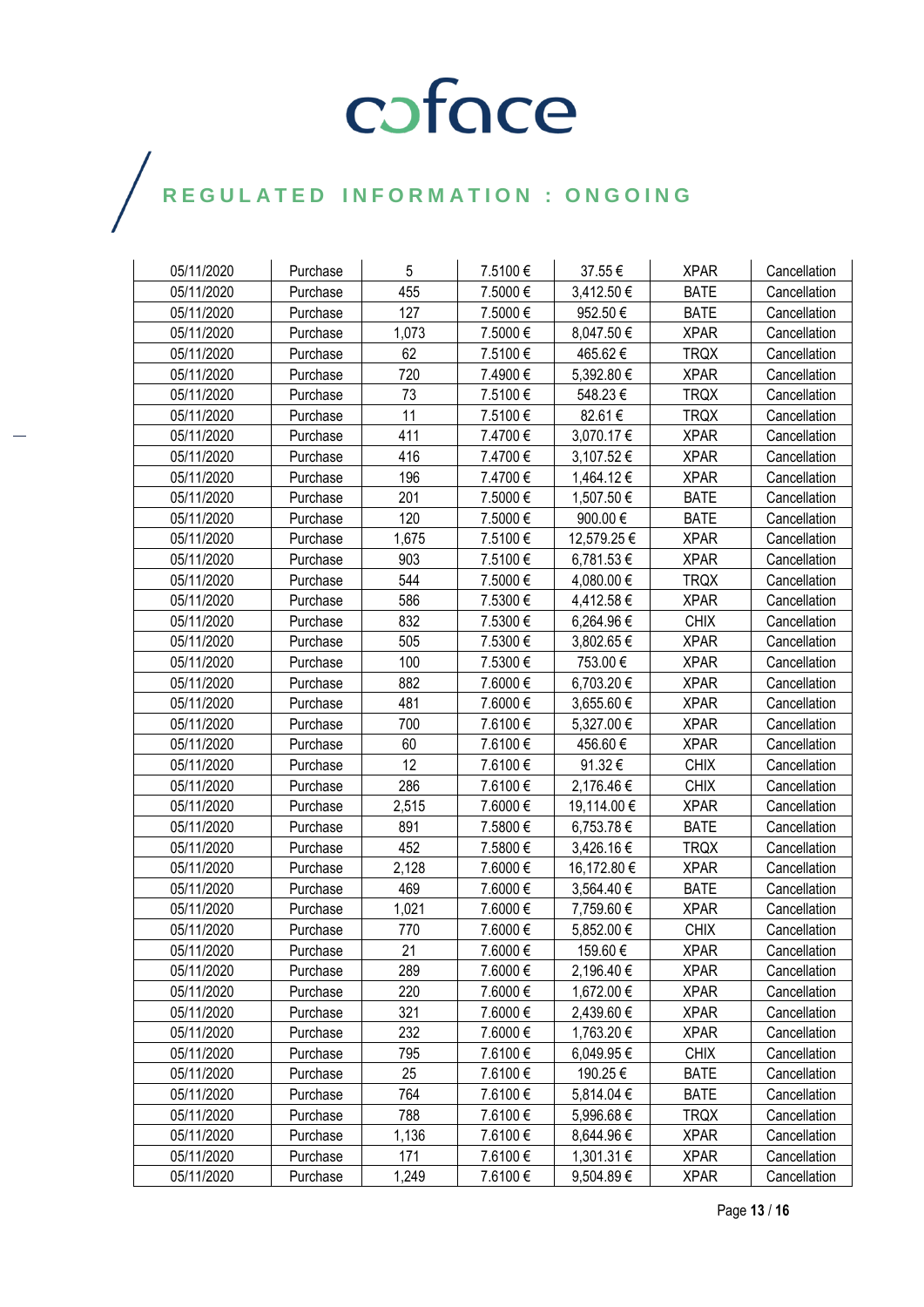| 05/11/2020 | Purchase | 5     | 7.5100€ | 37.55€      | <b>XPAR</b> | Cancellation |
|------------|----------|-------|---------|-------------|-------------|--------------|
| 05/11/2020 | Purchase | 455   | 7.5000€ | 3,412.50€   | <b>BATE</b> | Cancellation |
| 05/11/2020 | Purchase | 127   | 7.5000€ | 952.50€     | <b>BATE</b> | Cancellation |
| 05/11/2020 | Purchase | 1,073 | 7.5000€ | 8,047.50 €  | <b>XPAR</b> | Cancellation |
| 05/11/2020 | Purchase | 62    | 7.5100€ | 465.62€     | <b>TRQX</b> | Cancellation |
| 05/11/2020 | Purchase | 720   | 7.4900€ | 5,392.80 €  | <b>XPAR</b> | Cancellation |
| 05/11/2020 | Purchase | 73    | 7.5100€ | 548.23€     | <b>TRQX</b> | Cancellation |
| 05/11/2020 | Purchase | 11    | 7.5100€ | 82.61€      | <b>TRQX</b> | Cancellation |
| 05/11/2020 | Purchase | 411   | 7.4700€ | 3,070.17 €  | <b>XPAR</b> | Cancellation |
| 05/11/2020 | Purchase | 416   | 7.4700€ | 3,107.52 €  | <b>XPAR</b> | Cancellation |
| 05/11/2020 | Purchase | 196   | 7.4700€ | 1,464.12 €  | <b>XPAR</b> | Cancellation |
| 05/11/2020 | Purchase | 201   | 7.5000€ | 1,507.50 €  | <b>BATE</b> | Cancellation |
| 05/11/2020 | Purchase | 120   | 7.5000€ | 900.00€     | <b>BATE</b> | Cancellation |
| 05/11/2020 | Purchase | 1,675 | 7.5100€ | 12,579.25 € | <b>XPAR</b> | Cancellation |
| 05/11/2020 | Purchase | 903   | 7.5100€ | 6,781.53€   | <b>XPAR</b> | Cancellation |
| 05/11/2020 | Purchase | 544   | 7.5000€ | 4,080.00 €  | <b>TRQX</b> | Cancellation |
| 05/11/2020 | Purchase | 586   | 7.5300€ | 4,412.58 €  | <b>XPAR</b> | Cancellation |
| 05/11/2020 | Purchase | 832   | 7.5300€ | 6,264.96 €  | <b>CHIX</b> | Cancellation |
| 05/11/2020 | Purchase | 505   | 7.5300€ | 3,802.65 €  | <b>XPAR</b> | Cancellation |
| 05/11/2020 | Purchase | 100   | 7.5300€ | 753.00€     | <b>XPAR</b> | Cancellation |
| 05/11/2020 | Purchase | 882   | 7.6000€ | 6,703.20€   | <b>XPAR</b> | Cancellation |
| 05/11/2020 | Purchase | 481   | 7.6000€ | 3,655.60 €  | <b>XPAR</b> | Cancellation |
| 05/11/2020 | Purchase | 700   | 7.6100€ | 5,327.00 €  | <b>XPAR</b> | Cancellation |
| 05/11/2020 | Purchase | 60    | 7.6100€ | 456.60€     | <b>XPAR</b> | Cancellation |
| 05/11/2020 | Purchase | 12    | 7.6100€ | 91.32€      | <b>CHIX</b> | Cancellation |
| 05/11/2020 | Purchase | 286   | 7.6100€ | 2,176.46 €  | <b>CHIX</b> | Cancellation |
| 05/11/2020 | Purchase | 2,515 | 7.6000€ | 19,114.00 € | <b>XPAR</b> | Cancellation |
| 05/11/2020 | Purchase | 891   | 7.5800€ | 6,753.78 €  | <b>BATE</b> | Cancellation |
| 05/11/2020 | Purchase | 452   | 7.5800€ | 3,426.16 €  | <b>TRQX</b> | Cancellation |
| 05/11/2020 | Purchase | 2,128 | 7.6000€ | 16,172.80 € | <b>XPAR</b> | Cancellation |
| 05/11/2020 | Purchase | 469   | 7.6000€ | 3,564.40 €  | <b>BATE</b> | Cancellation |
| 05/11/2020 | Purchase | 1,021 | 7.6000€ | 7,759.60 €  | <b>XPAR</b> | Cancellation |
| 05/11/2020 | Purchase | 770   | 7.6000€ | 5,852.00 €  | <b>CHIX</b> | Cancellation |
| 05/11/2020 | Purchase | 21    | 7.6000€ | 159.60€     | <b>XPAR</b> | Cancellation |
| 05/11/2020 | Purchase | 289   | 7.6000€ | 2,196.40 €  | <b>XPAR</b> | Cancellation |
| 05/11/2020 | Purchase | 220   | 7.6000€ | 1,672.00 €  | <b>XPAR</b> | Cancellation |
| 05/11/2020 | Purchase | 321   | 7.6000€ | 2,439.60 €  | <b>XPAR</b> | Cancellation |
| 05/11/2020 | Purchase | 232   | 7.6000€ | 1,763.20 €  | <b>XPAR</b> | Cancellation |
| 05/11/2020 | Purchase | 795   | 7.6100€ | 6,049.95€   | <b>CHIX</b> | Cancellation |
| 05/11/2020 | Purchase | 25    | 7.6100€ | 190.25€     | <b>BATE</b> | Cancellation |
| 05/11/2020 | Purchase | 764   | 7.6100€ | 5,814.04 €  | <b>BATE</b> | Cancellation |
| 05/11/2020 | Purchase | 788   | 7.6100€ | 5,996.68 €  | <b>TRQX</b> | Cancellation |
| 05/11/2020 | Purchase | 1,136 | 7.6100€ | 8,644.96 €  | <b>XPAR</b> | Cancellation |
| 05/11/2020 | Purchase | 171   | 7.6100€ | 1,301.31 €  | <b>XPAR</b> | Cancellation |
| 05/11/2020 | Purchase | 1,249 | 7.6100€ | 9,504.89€   | <b>XPAR</b> | Cancellation |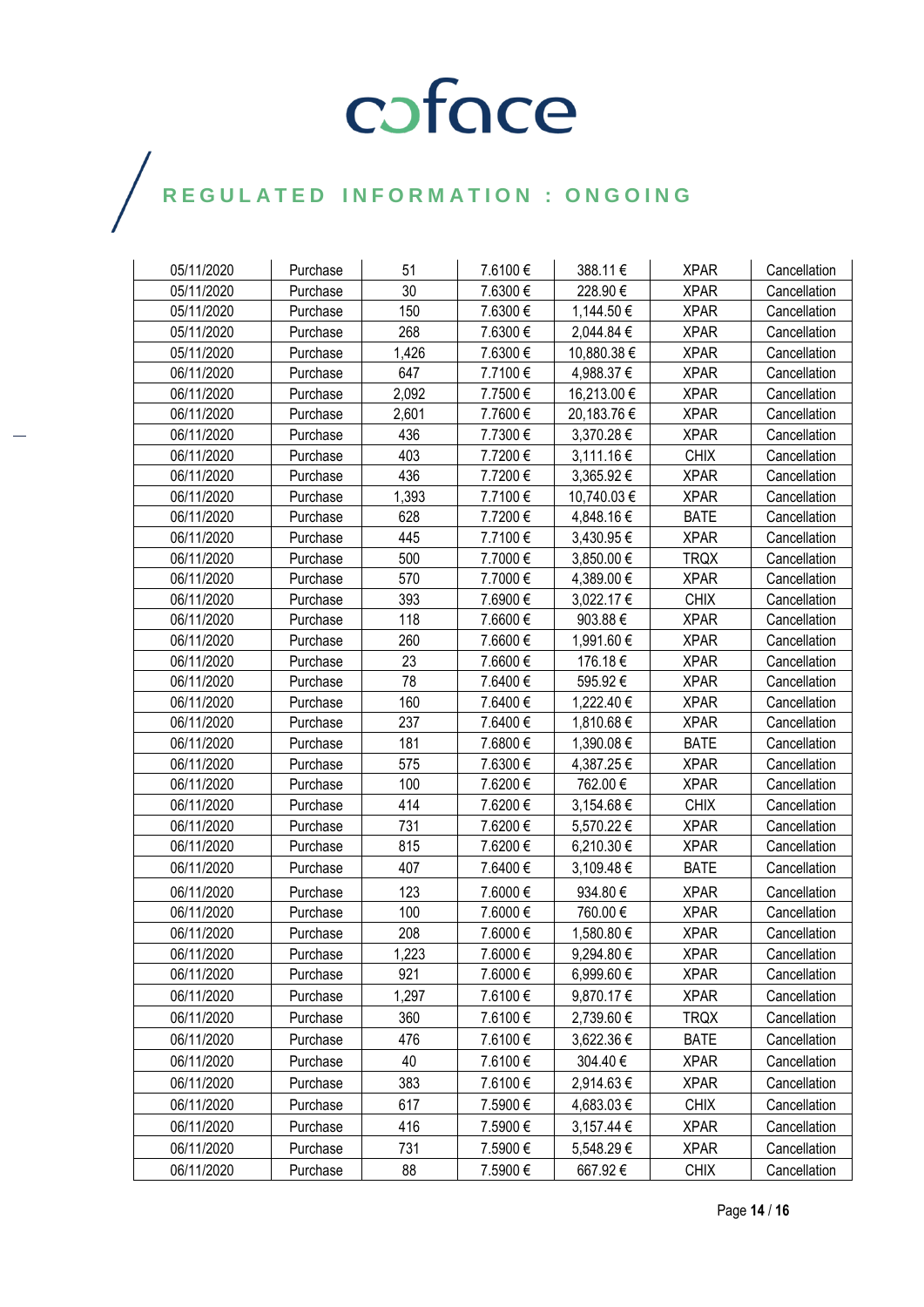| 05/11/2020 | Purchase | 51    | 7.6100€  | 388.11€     | <b>XPAR</b> | Cancellation |
|------------|----------|-------|----------|-------------|-------------|--------------|
| 05/11/2020 | Purchase | 30    | 7.6300€  | 228.90€     | <b>XPAR</b> | Cancellation |
| 05/11/2020 | Purchase | 150   | 7.6300€  | 1,144.50 €  | <b>XPAR</b> | Cancellation |
| 05/11/2020 | Purchase | 268   | 7.6300 € | 2,044.84 €  | <b>XPAR</b> | Cancellation |
| 05/11/2020 | Purchase | 1,426 | 7.6300€  | 10,880.38 € | <b>XPAR</b> | Cancellation |
| 06/11/2020 | Purchase | 647   | 7.7100€  | 4,988.37 €  | <b>XPAR</b> | Cancellation |
| 06/11/2020 | Purchase | 2,092 | 7.7500€  | 16,213.00 € | <b>XPAR</b> | Cancellation |
| 06/11/2020 | Purchase | 2,601 | 7.7600€  | 20,183.76 € | <b>XPAR</b> | Cancellation |
| 06/11/2020 | Purchase | 436   | 7.7300€  | 3,370.28 €  | <b>XPAR</b> | Cancellation |
| 06/11/2020 | Purchase | 403   | 7.7200€  | 3,111.16 €  | <b>CHIX</b> | Cancellation |
| 06/11/2020 | Purchase | 436   | 7.7200€  | 3,365.92 €  | <b>XPAR</b> | Cancellation |
| 06/11/2020 | Purchase | 1,393 | 7.7100€  | 10,740.03 € | <b>XPAR</b> | Cancellation |
| 06/11/2020 | Purchase | 628   | 7.7200€  | 4,848.16€   | <b>BATE</b> | Cancellation |
| 06/11/2020 | Purchase | 445   | 7.7100€  | 3,430.95 €  | <b>XPAR</b> | Cancellation |
| 06/11/2020 | Purchase | 500   | 7.7000€  | 3,850.00 €  | <b>TRQX</b> | Cancellation |
| 06/11/2020 | Purchase | 570   | 7.7000€  | 4,389.00 €  | <b>XPAR</b> | Cancellation |
| 06/11/2020 | Purchase | 393   | 7.6900€  | 3,022.17 €  | <b>CHIX</b> | Cancellation |
| 06/11/2020 | Purchase | 118   | 7.6600€  | 903.88€     | <b>XPAR</b> | Cancellation |
| 06/11/2020 | Purchase | 260   | 7.6600€  | 1,991.60 €  | <b>XPAR</b> | Cancellation |
| 06/11/2020 | Purchase | 23    | 7.6600€  | 176.18€     | <b>XPAR</b> | Cancellation |
| 06/11/2020 | Purchase | 78    | 7.6400€  | 595.92€     | <b>XPAR</b> | Cancellation |
| 06/11/2020 | Purchase | 160   | 7.6400€  | 1,222.40 €  | <b>XPAR</b> | Cancellation |
| 06/11/2020 | Purchase | 237   | 7.6400€  | 1,810.68 €  | <b>XPAR</b> | Cancellation |
| 06/11/2020 | Purchase | 181   | 7.6800€  | 1,390.08 €  | <b>BATE</b> | Cancellation |
| 06/11/2020 | Purchase | 575   | 7.6300€  | 4,387.25 €  | <b>XPAR</b> | Cancellation |
| 06/11/2020 | Purchase | 100   | 7.6200€  | 762.00€     | <b>XPAR</b> | Cancellation |
| 06/11/2020 | Purchase | 414   | 7.6200€  | 3,154.68 €  | <b>CHIX</b> | Cancellation |
| 06/11/2020 | Purchase | 731   | 7.6200€  | 5,570.22 €  | <b>XPAR</b> | Cancellation |
| 06/11/2020 | Purchase | 815   | 7.6200€  | 6,210.30 €  | <b>XPAR</b> | Cancellation |
| 06/11/2020 | Purchase | 407   | 7.6400€  | 3,109.48€   | <b>BATE</b> | Cancellation |
| 06/11/2020 | Purchase | 123   | 7.6000€  | 934.80€     | <b>XPAR</b> | Cancellation |
| 06/11/2020 | Purchase | 100   | 7.6000€  | 760.00€     | <b>XPAR</b> | Cancellation |
| 06/11/2020 | Purchase | 208   | 7.6000€  | 1,580.80 €  | <b>XPAR</b> | Cancellation |
| 06/11/2020 | Purchase | 1,223 | 7.6000€  | 9,294.80€   | <b>XPAR</b> | Cancellation |
| 06/11/2020 | Purchase | 921   | 7.6000€  | 6,999.60 €  | <b>XPAR</b> | Cancellation |
| 06/11/2020 | Purchase | 1,297 | 7.6100€  | 9,870.17 €  | <b>XPAR</b> | Cancellation |
| 06/11/2020 | Purchase | 360   | 7.6100€  | 2,739.60 €  | <b>TRQX</b> | Cancellation |
| 06/11/2020 | Purchase | 476   | 7.6100€  | 3,622.36 €  | <b>BATE</b> | Cancellation |
| 06/11/2020 | Purchase | 40    | 7.6100€  | 304.40€     | <b>XPAR</b> | Cancellation |
| 06/11/2020 | Purchase | 383   | 7.6100€  | 2,914.63€   | <b>XPAR</b> | Cancellation |
| 06/11/2020 | Purchase | 617   | 7.5900€  | 4,683.03 €  | <b>CHIX</b> | Cancellation |
| 06/11/2020 | Purchase | 416   | 7.5900€  | 3,157.44 €  | <b>XPAR</b> | Cancellation |
| 06/11/2020 | Purchase | 731   | 7.5900€  | 5,548.29€   | <b>XPAR</b> | Cancellation |
| 06/11/2020 | Purchase | 88    | 7.5900€  | 667.92€     | <b>CHIX</b> | Cancellation |

 $\bigg)$ 

Page **14** / **16**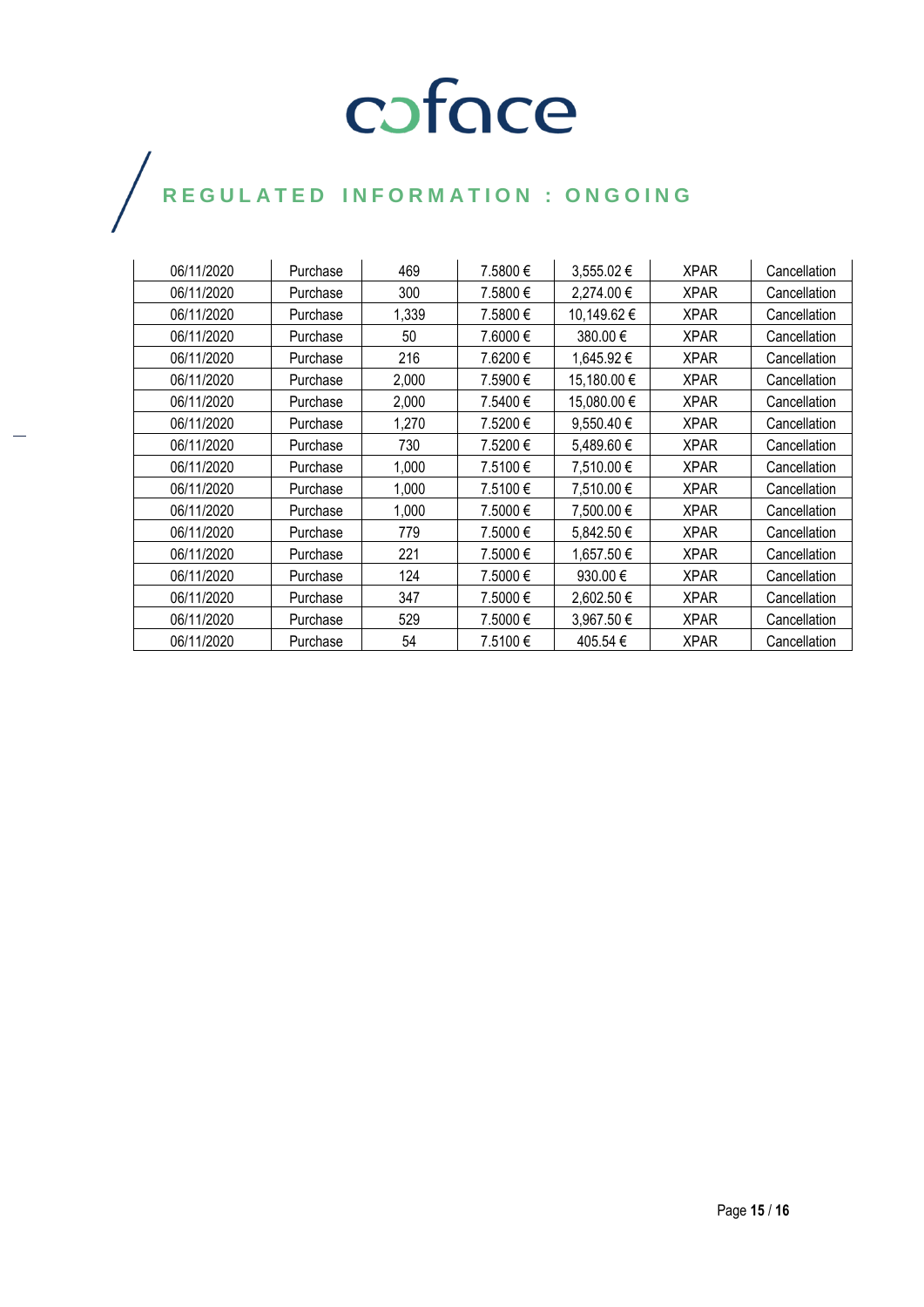| 06/11/2020 | Purchase | 469   | 7.5800 € | 3,555.02 €     | <b>XPAR</b> | Cancellation |
|------------|----------|-------|----------|----------------|-------------|--------------|
| 06/11/2020 | Purchase | 300   | 7.5800€  | 2,274.00 €     | <b>XPAR</b> | Cancellation |
| 06/11/2020 | Purchase | 1,339 | 7.5800 € | 10,149.62 €    | <b>XPAR</b> | Cancellation |
| 06/11/2020 | Purchase | 50    | 7.6000 € | 380.00 €       | <b>XPAR</b> | Cancellation |
| 06/11/2020 | Purchase | 216   | 7.6200 € | 1,645.92 €     | <b>XPAR</b> | Cancellation |
| 06/11/2020 | Purchase | 2,000 | 7.5900€  | 15,180.00 €    | <b>XPAR</b> | Cancellation |
| 06/11/2020 | Purchase | 2,000 | 7.5400 € | 15,080.00 €    | <b>XPAR</b> | Cancellation |
| 06/11/2020 | Purchase | 1,270 | 7.5200€  | 9,550.40 $\in$ | <b>XPAR</b> | Cancellation |
| 06/11/2020 | Purchase | 730   | 7.5200€  | 5,489.60 €     | <b>XPAR</b> | Cancellation |
| 06/11/2020 | Purchase | 1,000 | 7.5100 € | 7,510.00 €     | <b>XPAR</b> | Cancellation |
| 06/11/2020 | Purchase | 1,000 | 7.5100 € | 7,510.00 €     | <b>XPAR</b> | Cancellation |
| 06/11/2020 | Purchase | 1,000 | 7.5000 € | 7,500.00 €     | <b>XPAR</b> | Cancellation |
| 06/11/2020 | Purchase | 779   | 7.5000 € | 5,842.50 €     | <b>XPAR</b> | Cancellation |
| 06/11/2020 | Purchase | 221   | 7.5000€  | 1,657.50 €     | <b>XPAR</b> | Cancellation |
| 06/11/2020 | Purchase | 124   | 7.5000 € | 930.00 €       | <b>XPAR</b> | Cancellation |
| 06/11/2020 | Purchase | 347   | 7.5000€  | 2,602.50 €     | <b>XPAR</b> | Cancellation |
| 06/11/2020 | Purchase | 529   | 7.5000€  | 3,967.50 €     | <b>XPAR</b> | Cancellation |
| 06/11/2020 | Purchase | 54    | 7.5100€  | 405.54 €       | <b>XPAR</b> | Cancellation |